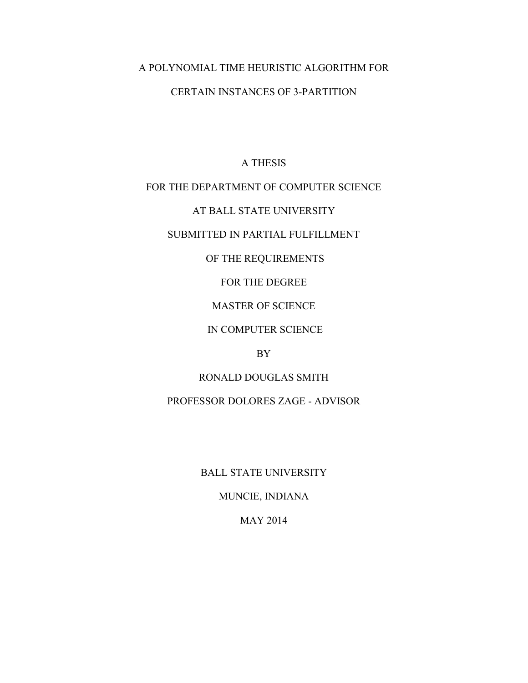# A POLYNOMIAL TIME HEURISTIC ALGORITHM FOR

# CERTAIN INSTANCES OF 3-PARTITION

# A THESIS

## FOR THE DEPARTMENT OF COMPUTER SCIENCE

# AT BALL STATE UNIVERSITY

# SUBMITTED IN PARTIAL FULFILLMENT

## OF THE REQUIREMENTS

## FOR THE DEGREE

# MASTER OF SCIENCE

# IN COMPUTER SCIENCE

# BY

# RONALD DOUGLAS SMITH

# PROFESSOR DOLORES ZAGE - ADVISOR

# BALL STATE UNIVERSITY

# MUNCIE, INDIANA

## MAY 2014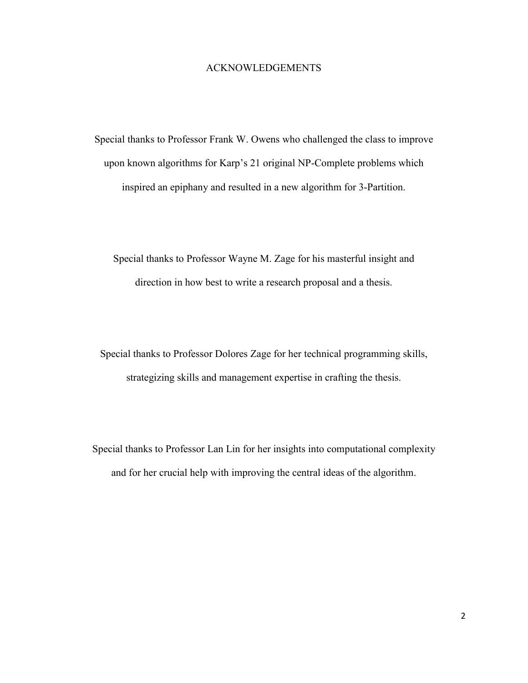## ACKNOWLEDGEMENTS

Special thanks to Professor Frank W. Owens who challenged the class to improve upon known algorithms for Karp's 21 original NP-Complete problems which inspired an epiphany and resulted in a new algorithm for 3-Partition.

Special thanks to Professor Wayne M. Zage for his masterful insight and direction in how best to write a research proposal and a thesis.

Special thanks to Professor Dolores Zage for her technical programming skills, strategizing skills and management expertise in crafting the thesis.

Special thanks to Professor Lan Lin for her insights into computational complexity and for her crucial help with improving the central ideas of the algorithm.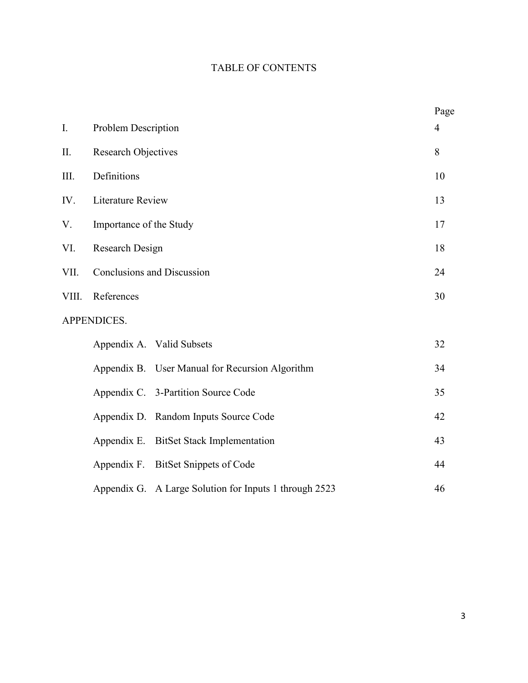# TABLE OF CONTENTS

|             |                                                        | Page           |  |  |
|-------------|--------------------------------------------------------|----------------|--|--|
| I.          | Problem Description                                    | $\overline{4}$ |  |  |
| II.         | <b>Research Objectives</b>                             |                |  |  |
| Ш.          | Definitions                                            |                |  |  |
| IV.         | <b>Literature Review</b>                               |                |  |  |
| V.          | Importance of the Study                                |                |  |  |
| VI.         | Research Design                                        |                |  |  |
| VII.        | Conclusions and Discussion                             |                |  |  |
| VIII.       | References                                             | 30             |  |  |
| APPENDICES. |                                                        |                |  |  |
|             | Appendix A. Valid Subsets                              | 32             |  |  |
|             | Appendix B. User Manual for Recursion Algorithm        | 34             |  |  |
|             | Appendix C. 3-Partition Source Code                    | 35             |  |  |
|             | Appendix D. Random Inputs Source Code                  | 42             |  |  |
|             | <b>BitSet Stack Implementation</b><br>Appendix E.      | 43             |  |  |
|             | <b>BitSet Snippets of Code</b><br>Appendix F.          | 44             |  |  |
|             | Appendix G. A Large Solution for Inputs 1 through 2523 | 46             |  |  |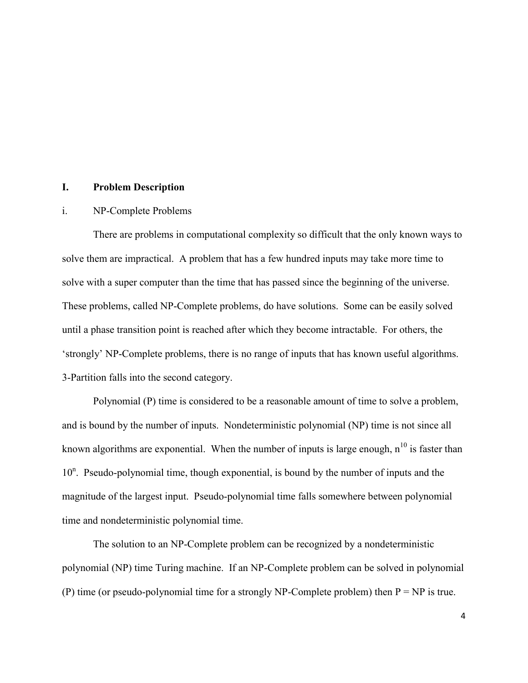## **I. Problem Description**

#### i. NP-Complete Problems

There are problems in computational complexity so difficult that the only known ways to solve them are impractical. A problem that has a few hundred inputs may take more time to solve with a super computer than the time that has passed since the beginning of the universe. These problems, called NP-Complete problems, do have solutions. Some can be easily solved until a phase transition point is reached after which they become intractable. For others, the 'strongly' NP-Complete problems, there is no range of inputs that has known useful algorithms. 3-Partition falls into the second category.

Polynomial (P) time is considered to be a reasonable amount of time to solve a problem, and is bound by the number of inputs. Nondeterministic polynomial (NP) time is not since all known algorithms are exponential. When the number of inputs is large enough,  $n^{10}$  is faster than 10<sup>n</sup>. Pseudo-polynomial time, though exponential, is bound by the number of inputs and the magnitude of the largest input. Pseudo-polynomial time falls somewhere between polynomial time and nondeterministic polynomial time.

The solution to an NP-Complete problem can be recognized by a nondeterministic polynomial (NP) time Turing machine. If an NP-Complete problem can be solved in polynomial (P) time (or pseudo-polynomial time for a strongly NP-Complete problem) then  $P = NP$  is true.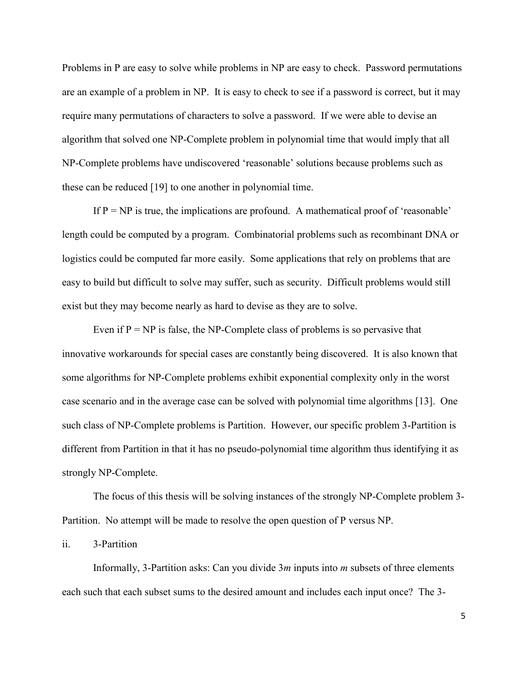Problems in P are easy to solve while problems in NP are easy to check. Password permutations are an example of a problem in NP. It is easy to check to see if a password is correct, but it may require many permutations of characters to solve a password. If we were able to devise an algorithm that solved one NP-Complete problem in polynomial time that would imply that all NP-Complete problems have undiscovered 'reasonable' solutions because problems such as these can be reduced [19] to one another in polynomial time.

If  $P = NP$  is true, the implications are profound. A mathematical proof of 'reasonable' length could be computed by a program. Combinatorial problems such as recombinant DNA or logistics could be computed far more easily. Some applications that rely on problems that are easy to build but difficult to solve may suffer, such as security. Difficult problems would still exist but they may become nearly as hard to devise as they are to solve.

Even if  $P = NP$  is false, the NP-Complete class of problems is so pervasive that innovative workarounds for special cases are constantly being discovered. It is also known that some algorithms for NP-Complete problems exhibit exponential complexity only in the worst case scenario and in the average case can be solved with polynomial time algorithms [13]. One such class of NP-Complete problems is Partition. However, our specific problem 3-Partition is different from Partition in that it has no pseudo-polynomial time algorithm thus identifying it as strongly NP-Complete.

The focus of this thesis will be solving instances of the strongly NP-Complete problem 3- Partition. No attempt will be made to resolve the open question of P versus NP.

ii. 3-Partition

Informally, 3-Partition asks: Can you divide 3*m* inputs into *m* subsets of three elements each such that each subset sums to the desired amount and includes each input once? The 3-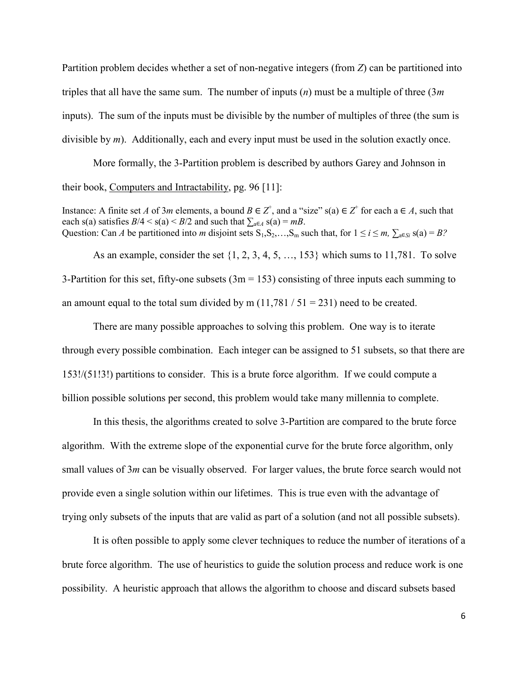Partition problem decides whether a set of non-negative integers (from *Z*) can be partitioned into triples that all have the same sum. The number of inputs (*n*) must be a multiple of three (3*m* inputs). The sum of the inputs must be divisible by the number of multiples of three (the sum is divisible by *m*). Additionally, each and every input must be used in the solution exactly once.

More formally, the 3-Partition problem is described by authors Garey and Johnson in their book, Computers and Intractability, pg. 96 [11]:

Instance: A finite set *A* of 3*m* elements, a bound  $B \in Z^+$ , and a "size" s(a)  $\in Z^+$  for each a  $\in A$ , such that each s(a) satisfies  $B/4 < s$ (a)  $\le B/2$  and such that  $\sum_{a \in A} s(a) = mB$ . Question: Can *A* be partitioned into *m* disjoint sets  $S_1, S_2, \ldots, S_m$  such that, for  $1 \le i \le m$ ,  $\sum_{a \in Si} s(a) = B$ ?

As an example, consider the set  $\{1, 2, 3, 4, 5, \ldots, 153\}$  which sums to 11,781. To solve 3-Partition for this set, fifty-one subsets  $(3m = 153)$  consisting of three inputs each summing to an amount equal to the total sum divided by m  $(11,781 / 51 = 231)$  need to be created.

There are many possible approaches to solving this problem. One way is to iterate through every possible combination. Each integer can be assigned to 51 subsets, so that there are 153!/(51!3!) partitions to consider. This is a brute force algorithm. If we could compute a billion possible solutions per second, this problem would take many millennia to complete.

In this thesis, the algorithms created to solve 3-Partition are compared to the brute force algorithm. With the extreme slope of the exponential curve for the brute force algorithm, only small values of 3*m* can be visually observed. For larger values, the brute force search would not provide even a single solution within our lifetimes. This is true even with the advantage of trying only subsets of the inputs that are valid as part of a solution (and not all possible subsets).

It is often possible to apply some clever techniques to reduce the number of iterations of a brute force algorithm. The use of heuristics to guide the solution process and reduce work is one possibility. A heuristic approach that allows the algorithm to choose and discard subsets based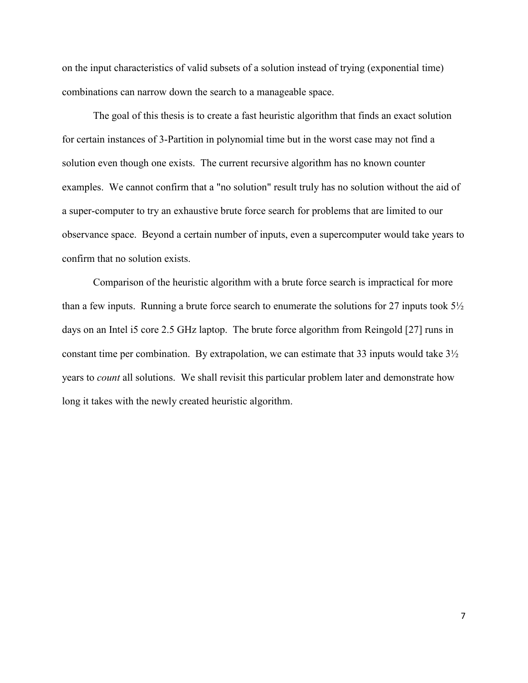on the input characteristics of valid subsets of a solution instead of trying (exponential time) combinations can narrow down the search to a manageable space.

The goal of this thesis is to create a fast heuristic algorithm that finds an exact solution for certain instances of 3-Partition in polynomial time but in the worst case may not find a solution even though one exists. The current recursive algorithm has no known counter examples. We cannot confirm that a "no solution" result truly has no solution without the aid of a super-computer to try an exhaustive brute force search for problems that are limited to our observance space. Beyond a certain number of inputs, even a supercomputer would take years to confirm that no solution exists.

Comparison of the heuristic algorithm with a brute force search is impractical for more than a few inputs. Running a brute force search to enumerate the solutions for 27 inputs took 5½ days on an Intel i5 core 2.5 GHz laptop. The brute force algorithm from Reingold [27] runs in constant time per combination. By extrapolation, we can estimate that 33 inputs would take 3½ years to *count* all solutions. We shall revisit this particular problem later and demonstrate how long it takes with the newly created heuristic algorithm.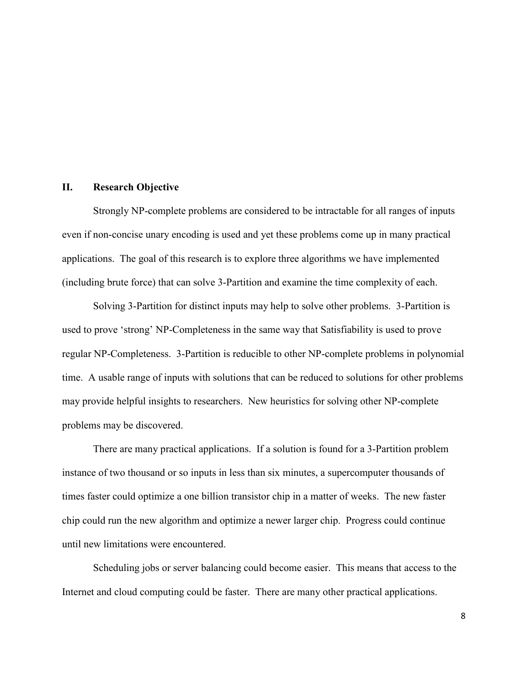#### **II. Research Objective**

Strongly NP-complete problems are considered to be intractable for all ranges of inputs even if non-concise unary encoding is used and yet these problems come up in many practical applications. The goal of this research is to explore three algorithms we have implemented (including brute force) that can solve 3-Partition and examine the time complexity of each.

Solving 3-Partition for distinct inputs may help to solve other problems. 3-Partition is used to prove 'strong' NP-Completeness in the same way that Satisfiability is used to prove regular NP-Completeness. 3-Partition is reducible to other NP-complete problems in polynomial time. A usable range of inputs with solutions that can be reduced to solutions for other problems may provide helpful insights to researchers. New heuristics for solving other NP-complete problems may be discovered.

There are many practical applications. If a solution is found for a 3-Partition problem instance of two thousand or so inputs in less than six minutes, a supercomputer thousands of times faster could optimize a one billion transistor chip in a matter of weeks. The new faster chip could run the new algorithm and optimize a newer larger chip. Progress could continue until new limitations were encountered.

Scheduling jobs or server balancing could become easier. This means that access to the Internet and cloud computing could be faster. There are many other practical applications.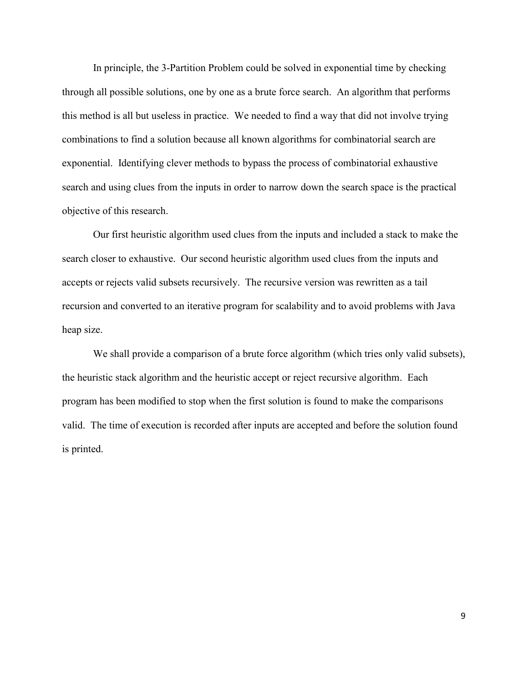In principle, the 3-Partition Problem could be solved in exponential time by checking through all possible solutions, one by one as a brute force search. An algorithm that performs this method is all but useless in practice. We needed to find a way that did not involve trying combinations to find a solution because all known algorithms for combinatorial search are exponential. Identifying clever methods to bypass the process of combinatorial exhaustive search and using clues from the inputs in order to narrow down the search space is the practical objective of this research.

Our first heuristic algorithm used clues from the inputs and included a stack to make the search closer to exhaustive. Our second heuristic algorithm used clues from the inputs and accepts or rejects valid subsets recursively. The recursive version was rewritten as a tail recursion and converted to an iterative program for scalability and to avoid problems with Java heap size.

We shall provide a comparison of a brute force algorithm (which tries only valid subsets), the heuristic stack algorithm and the heuristic accept or reject recursive algorithm. Each program has been modified to stop when the first solution is found to make the comparisons valid. The time of execution is recorded after inputs are accepted and before the solution found is printed.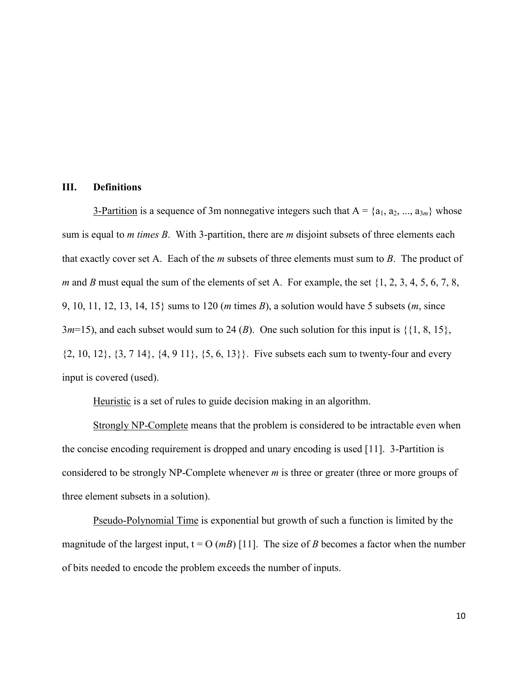## **III. Definitions**

3-Partition is a sequence of 3m nonnegative integers such that  $A = \{a_1, a_2, ..., a_{3m}\}\$  whose sum is equal to *m times B*. With 3-partition, there are *m* disjoint subsets of three elements each that exactly cover set A. Each of the *m* subsets of three elements must sum to *B*. The product of *m* and *B* must equal the sum of the elements of set A. For example, the set  $\{1, 2, 3, 4, 5, 6, 7, 8,$ 9, 10, 11, 12, 13, 14, 15} sums to 120 (*m* times *B*), a solution would have 5 subsets (*m*, since  $3m=15$ ), and each subset would sum to 24 (*B*). One such solution for this input is  $\{\{1, 8, 15\},\}$  $\{2, 10, 12\}, \{3, 7, 14\}, \{4, 9, 11\}, \{5, 6, 13\}\}.$  Five subsets each sum to twenty-four and every input is covered (used).

Heuristic is a set of rules to guide decision making in an algorithm.

Strongly NP-Complete means that the problem is considered to be intractable even when the concise encoding requirement is dropped and unary encoding is used [11]. 3-Partition is considered to be strongly NP-Complete whenever *m* is three or greater (three or more groups of three element subsets in a solution).

Pseudo-Polynomial Time is exponential but growth of such a function is limited by the magnitude of the largest input,  $t = O(mB)$  [11]. The size of *B* becomes a factor when the number of bits needed to encode the problem exceeds the number of inputs.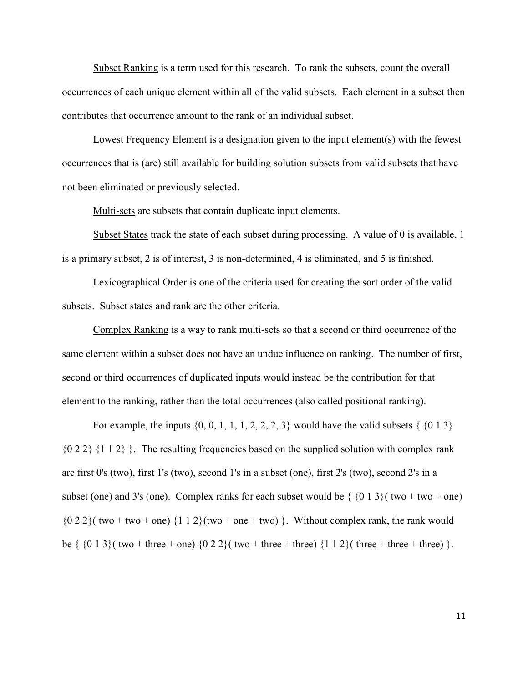Subset Ranking is a term used for this research. To rank the subsets, count the overall occurrences of each unique element within all of the valid subsets. Each element in a subset then contributes that occurrence amount to the rank of an individual subset.

Lowest Frequency Element is a designation given to the input element(s) with the fewest occurrences that is (are) still available for building solution subsets from valid subsets that have not been eliminated or previously selected.

Multi-sets are subsets that contain duplicate input elements.

Subset States track the state of each subset during processing. A value of 0 is available, 1 is a primary subset, 2 is of interest, 3 is non-determined, 4 is eliminated, and 5 is finished.

Lexicographical Order is one of the criteria used for creating the sort order of the valid subsets. Subset states and rank are the other criteria.

Complex Ranking is a way to rank multi-sets so that a second or third occurrence of the same element within a subset does not have an undue influence on ranking. The number of first, second or third occurrences of duplicated inputs would instead be the contribution for that element to the ranking, rather than the total occurrences (also called positional ranking).

For example, the inputs  $\{0, 0, 1, 1, 1, 2, 2, 2, 3\}$  would have the valid subsets  $\{\{0, 1, 3\}\}$  ${0, 2, 2}$  {1,1,2} }. The resulting frequencies based on the supplied solution with complex rank are first 0's (two), first 1's (two), second 1's in a subset (one), first 2's (two), second 2's in a subset (one) and 3's (one). Complex ranks for each subset would be  $\{013\}$  two + two + one)  ${0, 2, 2}$  (two + two + one)  ${1, 1, 2}$  (two + one + two) }. Without complex rank, the rank would be {  $\{0\ 1\ 3\}$  ( two + three + one)  $\{0\ 2\ 2\}$  ( two + three + three)  $\{1\ 1\ 2\}$  ( three + three + three) }.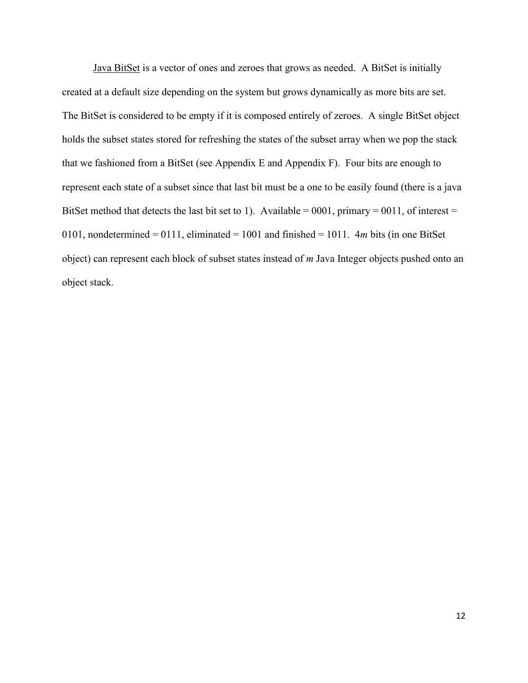Java BitSet is a vector of ones and zeroes that grows as needed. A BitSet is initially created at a default size depending on the system but grows dynamically as more bits are set. The BitSet is considered to be empty if it is composed entirely of zeroes. A single BitSet object holds the subset states stored for refreshing the states of the subset array when we pop the stack that we fashioned from a BitSet (see Appendix E and Appendix F). Four bits are enough to represent each state of a subset since that last bit must be a one to be easily found (there is a java BitSet method that detects the last bit set to 1). Available =  $0001$ , primary =  $0011$ , of interest = 0101, nondetermined = 0111, eliminated = 1001 and finished = 1011. 4*m* bits (in one BitSet object) can represent each block of subset states instead of *m* Java Integer objects pushed onto an object stack.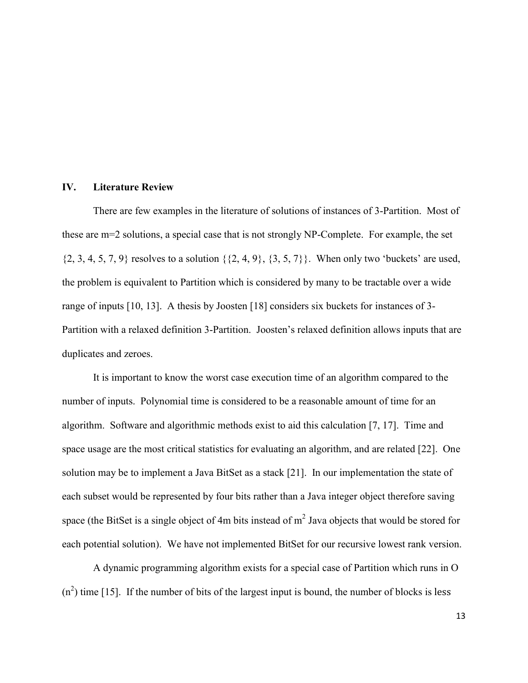#### **IV. Literature Review**

There are few examples in the literature of solutions of instances of 3-Partition. Most of these are m=2 solutions, a special case that is not strongly NP-Complete. For example, the set  $\{2, 3, 4, 5, 7, 9\}$  resolves to a solution  $\{\{2, 4, 9\}, \{3, 5, 7\}\}\$ . When only two 'buckets' are used, the problem is equivalent to Partition which is considered by many to be tractable over a wide range of inputs [10, 13]. A thesis by Joosten [18] considers six buckets for instances of 3- Partition with a relaxed definition 3-Partition. Joosten's relaxed definition allows inputs that are duplicates and zeroes.

It is important to know the worst case execution time of an algorithm compared to the number of inputs. Polynomial time is considered to be a reasonable amount of time for an algorithm. Software and algorithmic methods exist to aid this calculation [7, 17]. Time and space usage are the most critical statistics for evaluating an algorithm, and are related [22]. One solution may be to implement a Java BitSet as a stack [21]. In our implementation the state of each subset would be represented by four bits rather than a Java integer object therefore saving space (the BitSet is a single object of 4m bits instead of  $m^2$  Java objects that would be stored for each potential solution). We have not implemented BitSet for our recursive lowest rank version.

A dynamic programming algorithm exists for a special case of Partition which runs in O  $(n<sup>2</sup>)$  time [15]. If the number of bits of the largest input is bound, the number of blocks is less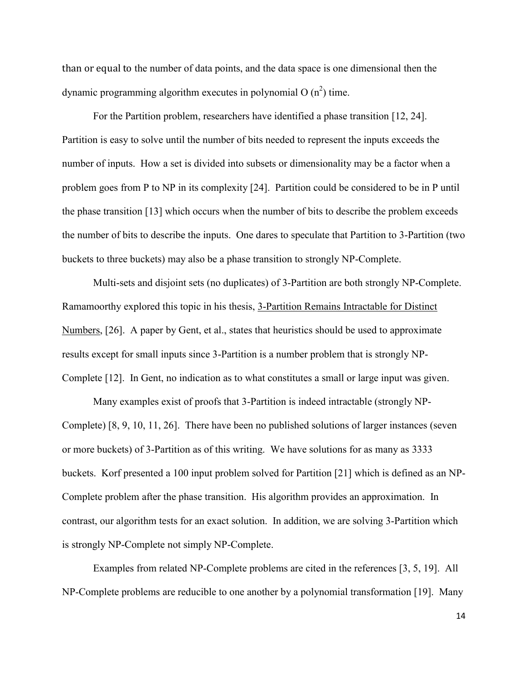than or equal to the number of data points, and the data space is one dimensional then the dynamic programming algorithm executes in polynomial O  $(n^2)$  time.

For the Partition problem, researchers have identified a phase transition [12, 24]. Partition is easy to solve until the number of bits needed to represent the inputs exceeds the number of inputs. How a set is divided into subsets or dimensionality may be a factor when a problem goes from P to NP in its complexity [24]. Partition could be considered to be in P until the phase transition [13] which occurs when the number of bits to describe the problem exceeds the number of bits to describe the inputs. One dares to speculate that Partition to 3-Partition (two buckets to three buckets) may also be a phase transition to strongly NP-Complete.

Multi-sets and disjoint sets (no duplicates) of 3-Partition are both strongly NP-Complete. Ramamoorthy explored this topic in his thesis, 3-Partition Remains Intractable for Distinct Numbers, [26]. A paper by Gent, et al., states that heuristics should be used to approximate results except for small inputs since 3-Partition is a number problem that is strongly NP-Complete [12]. In Gent, no indication as to what constitutes a small or large input was given.

Many examples exist of proofs that 3-Partition is indeed intractable (strongly NP-Complete) [8, 9, 10, 11, 26]. There have been no published solutions of larger instances (seven or more buckets) of 3-Partition as of this writing. We have solutions for as many as 3333 buckets. Korf presented a 100 input problem solved for Partition [21] which is defined as an NP-Complete problem after the phase transition. His algorithm provides an approximation. In contrast, our algorithm tests for an exact solution. In addition, we are solving 3-Partition which is strongly NP-Complete not simply NP-Complete.

Examples from related NP-Complete problems are cited in the references [3, 5, 19]. All NP-Complete problems are reducible to one another by a polynomial transformation [19]. Many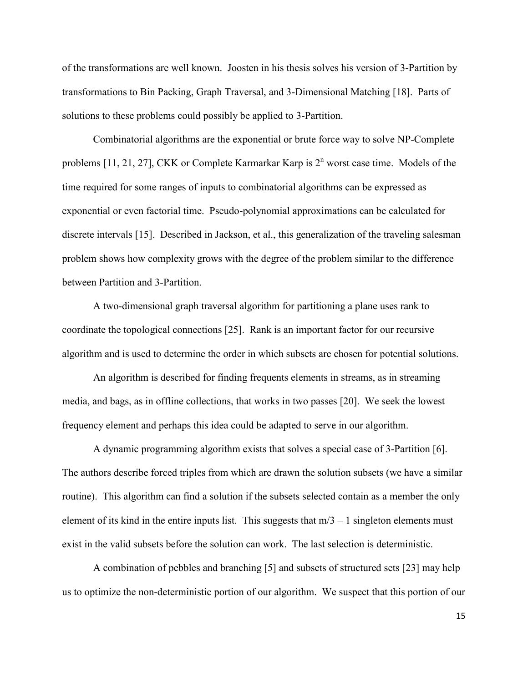of the transformations are well known. Joosten in his thesis solves his version of 3-Partition by transformations to Bin Packing, Graph Traversal, and 3-Dimensional Matching [18]. Parts of solutions to these problems could possibly be applied to 3-Partition.

Combinatorial algorithms are the exponential or brute force way to solve NP-Complete problems [11, 21, 27], CKK or Complete Karmarkar Karp is  $2<sup>n</sup>$  worst case time. Models of the time required for some ranges of inputs to combinatorial algorithms can be expressed as exponential or even factorial time. Pseudo-polynomial approximations can be calculated for discrete intervals [15]. Described in Jackson, et al., this generalization of the traveling salesman problem shows how complexity grows with the degree of the problem similar to the difference between Partition and 3-Partition.

A two-dimensional graph traversal algorithm for partitioning a plane uses rank to coordinate the topological connections [25]. Rank is an important factor for our recursive algorithm and is used to determine the order in which subsets are chosen for potential solutions.

An algorithm is described for finding frequents elements in streams, as in streaming media, and bags, as in offline collections, that works in two passes [20]. We seek the lowest frequency element and perhaps this idea could be adapted to serve in our algorithm.

A dynamic programming algorithm exists that solves a special case of 3-Partition [6]. The authors describe forced triples from which are drawn the solution subsets (we have a similar routine). This algorithm can find a solution if the subsets selected contain as a member the only element of its kind in the entire inputs list. This suggests that  $m/3 - 1$  singleton elements must exist in the valid subsets before the solution can work. The last selection is deterministic.

A combination of pebbles and branching [5] and subsets of structured sets [23] may help us to optimize the non-deterministic portion of our algorithm. We suspect that this portion of our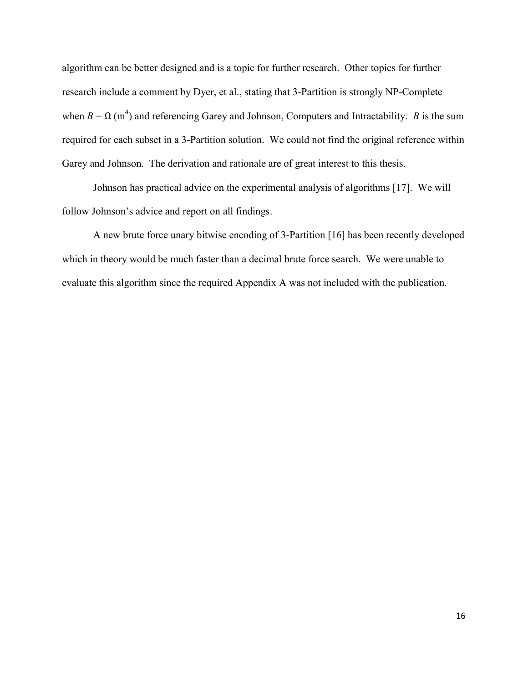algorithm can be better designed and is a topic for further research. Other topics for further research include a comment by Dyer, et al., stating that 3-Partition is strongly NP-Complete when  $B = \Omega(m^4)$  and referencing Garey and Johnson, Computers and Intractability. *B* is the sum required for each subset in a 3-Partition solution. We could not find the original reference within Garey and Johnson. The derivation and rationale are of great interest to this thesis.

Johnson has practical advice on the experimental analysis of algorithms [17]. We will follow Johnson's advice and report on all findings.

A new brute force unary bitwise encoding of 3-Partition [16] has been recently developed which in theory would be much faster than a decimal brute force search. We were unable to evaluate this algorithm since the required Appendix A was not included with the publication.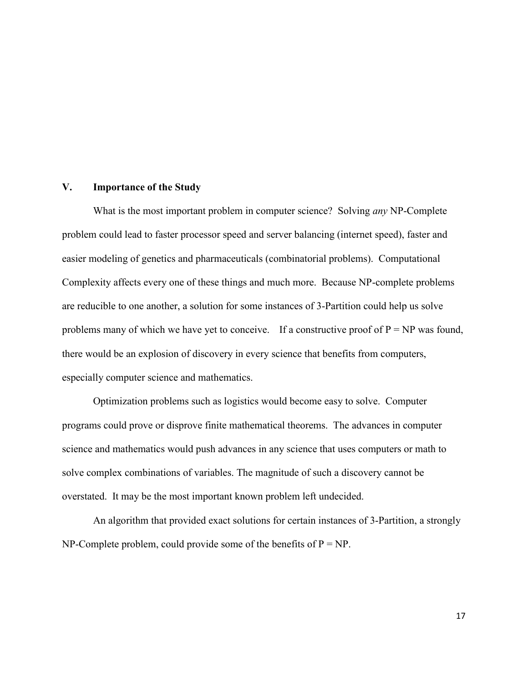## **V. Importance of the Study**

What is the most important problem in computer science? Solving *any* NP-Complete problem could lead to faster processor speed and server balancing (internet speed), faster and easier modeling of genetics and pharmaceuticals (combinatorial problems). Computational Complexity affects every one of these things and much more. Because NP-complete problems are reducible to one another, a solution for some instances of 3-Partition could help us solve problems many of which we have yet to conceive. If a constructive proof of  $P = NP$  was found, there would be an explosion of discovery in every science that benefits from computers, especially computer science and mathematics.

Optimization problems such as logistics would become easy to solve. Computer programs could prove or disprove finite mathematical theorems. The advances in computer science and mathematics would push advances in any science that uses computers or math to solve complex combinations of variables. The magnitude of such a discovery cannot be overstated. It may be the most important known problem left undecided.

An algorithm that provided exact solutions for certain instances of 3-Partition, a strongly NP-Complete problem, could provide some of the benefits of  $P = NP$ .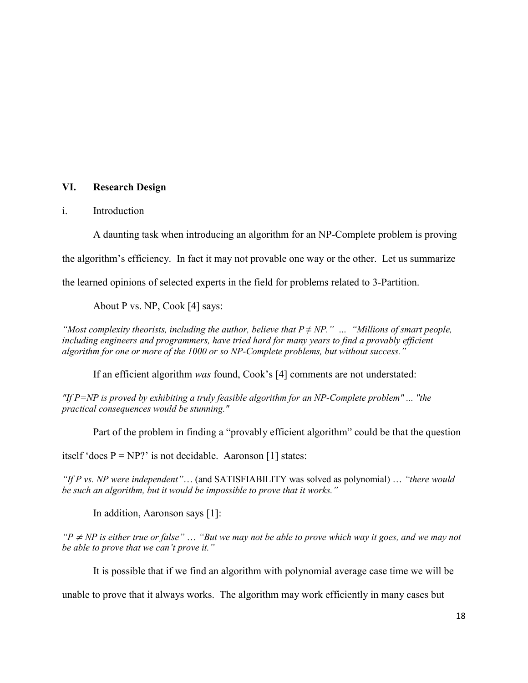## **VI. Research Design**

## i. Introduction

A daunting task when introducing an algorithm for an NP-Complete problem is proving the algorithm's efficiency. In fact it may not provable one way or the other. Let us summarize the learned opinions of selected experts in the field for problems related to 3-Partition.

About P vs. NP, Cook [4] says:

*"Most complexity theorists, including the author, believe that*  $P \neq NP$ *." ... "Millions of smart people, including engineers and programmers, have tried hard for many years to find a provably efficient algorithm for one or more of the 1000 or so NP-Complete problems, but without success."*

If an efficient algorithm *was* found, Cook's [4] comments are not understated:

*"If P=NP is proved by exhibiting a truly feasible algorithm for an NP-Complete problem" ... "the practical consequences would be stunning."*

Part of the problem in finding a "provably efficient algorithm" could be that the question

itself 'does  $P = NP$ ' is not decidable. Aaronson [1] states:

*"If P vs. NP were independent"*… (and SATISFIABILITY was solved as polynomial) … *"there would be such an algorithm, but it would be impossible to prove that it works."*

In addition, Aaronson says [1]:

*"P* <sup>≠</sup> *NP is either true or false"* … *"But we may not be able to prove which way it goes, and we may not be able to prove that we can't prove it."* 

It is possible that if we find an algorithm with polynomial average case time we will be

unable to prove that it always works. The algorithm may work efficiently in many cases but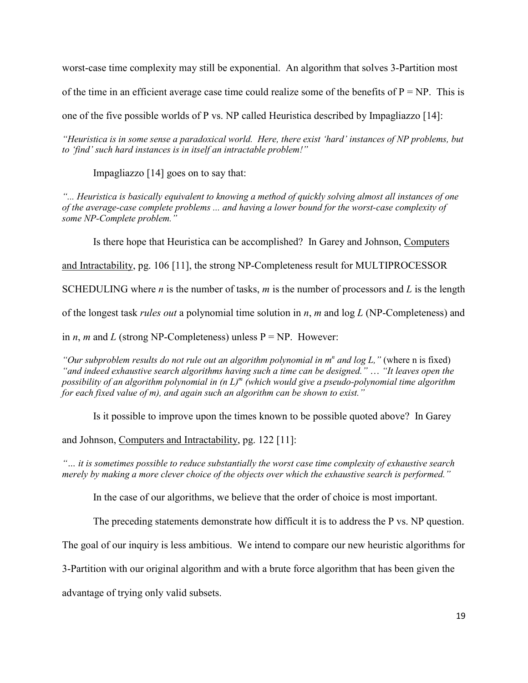worst-case time complexity may still be exponential. An algorithm that solves 3-Partition most

of the time in an efficient average case time could realize some of the benefits of  $P = NP$ . This is

one of the five possible worlds of P vs. NP called Heuristica described by Impagliazzo [14]:

*"Heuristica is in some sense a paradoxical world. Here, there exist 'hard' instances of NP problems, but to 'find' such hard instances is in itself an intractable problem!"*

Impagliazzo [14] goes on to say that:

*"... Heuristica is basically equivalent to knowing a method of quickly solving almost all instances of one of the average-case complete problems ... and having a lower bound for the worst-case complexity of some NP-Complete problem."*

Is there hope that Heuristica can be accomplished? In Garey and Johnson, Computers

and Intractability, pg. 106 [11], the strong NP-Completeness result for MULTIPROCESSOR

SCHEDULING where *n* is the number of tasks, *m* is the number of processors and *L* is the length

of the longest task *rules out* a polynomial time solution in *n*, *m* and log *L* (NP-Completeness) and

in *n*, *m* and *L* (strong NP-Completeness) unless  $P = NP$ . However:

"Our subproblem results do not rule out an algorithm polynomial in m<sup>n</sup> and log L," (where n is fixed) *"and indeed exhaustive search algorithms having such a time can be designed."* … *"It leaves open the possibility of an algorithm polynomial in (n L)<sup>m</sup> (which would give a pseudo-polynomial time algorithm for each fixed value of m), and again such an algorithm can be shown to exist."*

Is it possible to improve upon the times known to be possible quoted above? In Garey

and Johnson, Computers and Intractability, pg. 122 [11]:

*"… it is sometimes possible to reduce substantially the worst case time complexity of exhaustive search merely by making a more clever choice of the objects over which the exhaustive search is performed."*

In the case of our algorithms, we believe that the order of choice is most important.

The preceding statements demonstrate how difficult it is to address the P vs. NP question.

The goal of our inquiry is less ambitious. We intend to compare our new heuristic algorithms for

3-Partition with our original algorithm and with a brute force algorithm that has been given the

advantage of trying only valid subsets.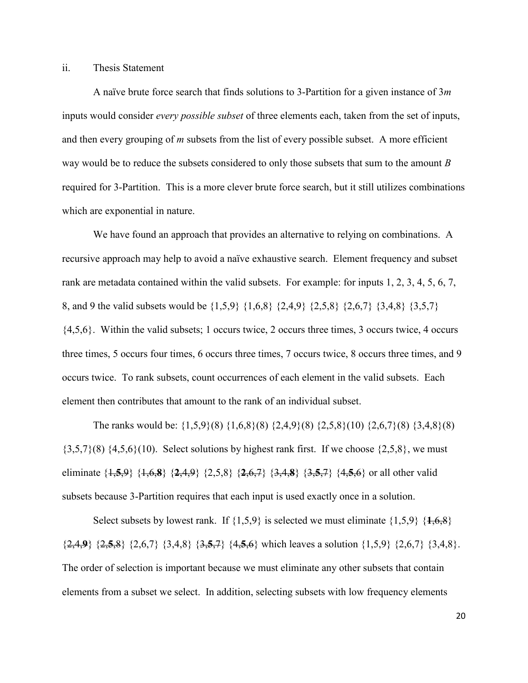#### ii. Thesis Statement

A naïve brute force search that finds solutions to 3-Partition for a given instance of 3*m* inputs would consider *every possible subset* of three elements each, taken from the set of inputs, and then every grouping of *m* subsets from the list of every possible subset. A more efficient way would be to reduce the subsets considered to only those subsets that sum to the amount *B* required for 3-Partition. This is a more clever brute force search, but it still utilizes combinations which are exponential in nature.

We have found an approach that provides an alternative to relying on combinations. A recursive approach may help to avoid a naïve exhaustive search. Element frequency and subset rank are metadata contained within the valid subsets. For example: for inputs 1, 2, 3, 4, 5, 6, 7, 8, and 9 the valid subsets would be {1,5,9} {1,6,8} {2,4,9} {2,5,8} {2,6,7} {3,4,8} {3,5,7} {4,5,6}. Within the valid subsets; 1 occurs twice, 2 occurs three times, 3 occurs twice, 4 occurs three times, 5 occurs four times, 6 occurs three times, 7 occurs twice, 8 occurs three times, and 9 occurs twice. To rank subsets, count occurrences of each element in the valid subsets. Each element then contributes that amount to the rank of an individual subset.

The ranks would be: {1,5,9}(8) {1,6,8}(8) {2,4,9}(8) {2,5,8}(10) {2,6,7}(8) {3,4,8}(8)  ${3,5,7}(8)$   ${4,5,6}(10)$ . Select solutions by highest rank first. If we choose  ${2,5,8}$ , we must eliminate {1,**5**,9} {1,6,**8**} {**2**,4,9} {2,5,8} {**2**,6,7} {3,4,**8**} {3,**5**,7} {4,**5**,6} or all other valid subsets because 3-Partition requires that each input is used exactly once in a solution.

Select subsets by lowest rank. If  $\{1,5,9\}$  is selected we must eliminate  $\{1,5,9\}$   $\{1,6,8\}$ {2,4,**9**} {2,**5**,8} {2,6,7} {3,4,8} {3,**5**,7} {4,**5**,6} which leaves a solution {1,5,9} {2,6,7} {3,4,8}. The order of selection is important because we must eliminate any other subsets that contain elements from a subset we select. In addition, selecting subsets with low frequency elements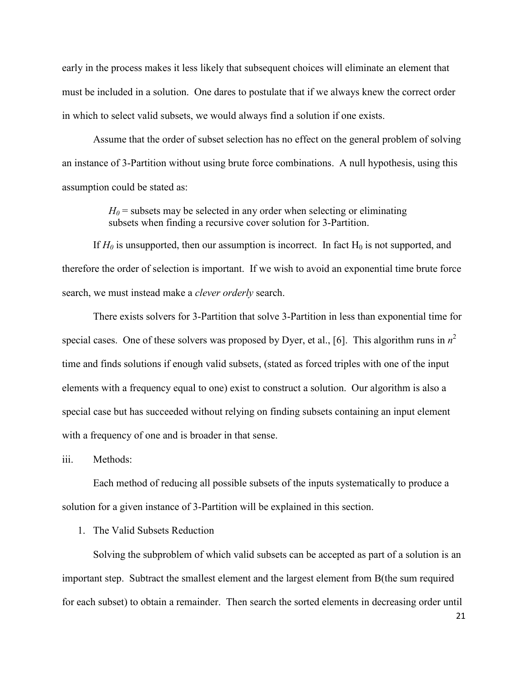early in the process makes it less likely that subsequent choices will eliminate an element that must be included in a solution. One dares to postulate that if we always knew the correct order in which to select valid subsets, we would always find a solution if one exists.

Assume that the order of subset selection has no effect on the general problem of solving an instance of 3-Partition without using brute force combinations. A null hypothesis, using this assumption could be stated as:

> $H_0$  = subsets may be selected in any order when selecting or eliminating subsets when finding a recursive cover solution for 3-Partition.

If  $H_0$  is unsupported, then our assumption is incorrect. In fact  $H_0$  is not supported, and therefore the order of selection is important. If we wish to avoid an exponential time brute force search, we must instead make a *clever orderly* search.

There exists solvers for 3-Partition that solve 3-Partition in less than exponential time for special cases. One of these solvers was proposed by Dyer, et al., [6]. This algorithm runs in  $n^2$ time and finds solutions if enough valid subsets, (stated as forced triples with one of the input elements with a frequency equal to one) exist to construct a solution. Our algorithm is also a special case but has succeeded without relying on finding subsets containing an input element with a frequency of one and is broader in that sense.

iii. Methods:

Each method of reducing all possible subsets of the inputs systematically to produce a solution for a given instance of 3-Partition will be explained in this section.

1. The Valid Subsets Reduction

Solving the subproblem of which valid subsets can be accepted as part of a solution is an important step. Subtract the smallest element and the largest element from B(the sum required for each subset) to obtain a remainder. Then search the sorted elements in decreasing order until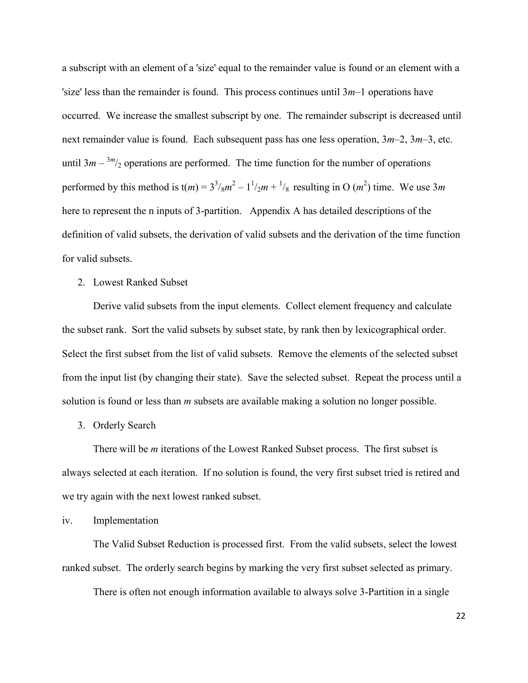a subscript with an element of a 'size' equal to the remainder value is found or an element with a 'size' less than the remainder is found. This process continues until 3*m*–1 operations have occurred. We increase the smallest subscript by one. The remainder subscript is decreased until next remainder value is found. Each subsequent pass has one less operation, 3*m*–2, 3*m*–3, etc. until  $3m - \frac{3m}{2}$  operations are performed. The time function for the number of operations performed by this method is  $t(m) = 3^3 /_{8}m^2 - 1^1 /_{2}m + \frac{1}{8}$  resulting in O  $(m^2)$  time. We use 3*m* here to represent the n inputs of 3-partition. Appendix A has detailed descriptions of the definition of valid subsets, the derivation of valid subsets and the derivation of the time function for valid subsets.

2. Lowest Ranked Subset

Derive valid subsets from the input elements. Collect element frequency and calculate the subset rank. Sort the valid subsets by subset state, by rank then by lexicographical order. Select the first subset from the list of valid subsets. Remove the elements of the selected subset from the input list (by changing their state). Save the selected subset. Repeat the process until a solution is found or less than *m* subsets are available making a solution no longer possible.

3. Orderly Search

There will be *m* iterations of the Lowest Ranked Subset process. The first subset is always selected at each iteration. If no solution is found, the very first subset tried is retired and we try again with the next lowest ranked subset.

iv. Implementation

The Valid Subset Reduction is processed first. From the valid subsets, select the lowest ranked subset. The orderly search begins by marking the very first subset selected as primary.

There is often not enough information available to always solve 3-Partition in a single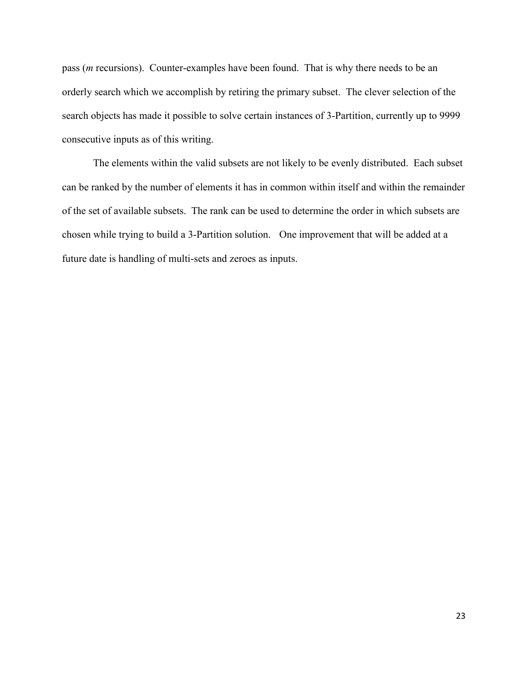pass (*m* recursions). Counter-examples have been found. That is why there needs to be an orderly search which we accomplish by retiring the primary subset. The clever selection of the search objects has made it possible to solve certain instances of 3-Partition, currently up to 9999 consecutive inputs as of this writing.

The elements within the valid subsets are not likely to be evenly distributed. Each subset can be ranked by the number of elements it has in common within itself and within the remainder of the set of available subsets. The rank can be used to determine the order in which subsets are chosen while trying to build a 3-Partition solution. One improvement that will be added at a future date is handling of multi-sets and zeroes as inputs.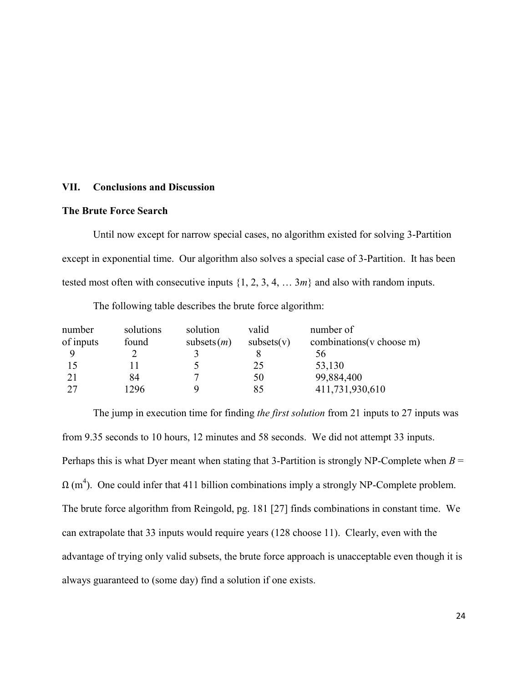#### **VII. Conclusions and Discussion**

#### **The Brute Force Search**

Until now except for narrow special cases, no algorithm existed for solving 3-Partition except in exponential time. Our algorithm also solves a special case of 3-Partition. It has been tested most often with consecutive inputs  $\{1, 2, 3, 4, \ldots, 3m\}$  and also with random inputs.

number solutions solution valid number of of inputs found subsets(*m*) subsets(v) combinations(v choose m) 9 2 3 8 56 15 11 5 25 53,130 21 84 7 50 99,884,400 27 1296 9 85 411,731,930,610

The following table describes the brute force algorithm:

The jump in execution time for finding *the first solution* from 21 inputs to 27 inputs was from 9.35 seconds to 10 hours, 12 minutes and 58 seconds. We did not attempt 33 inputs. Perhaps this is what Dyer meant when stating that 3-Partition is strongly NP-Complete when  $B =$  $\Omega$  (m<sup>4</sup>). One could infer that 411 billion combinations imply a strongly NP-Complete problem. The brute force algorithm from Reingold, pg. 181 [27] finds combinations in constant time. We can extrapolate that 33 inputs would require years (128 choose 11). Clearly, even with the advantage of trying only valid subsets, the brute force approach is unacceptable even though it is always guaranteed to (some day) find a solution if one exists.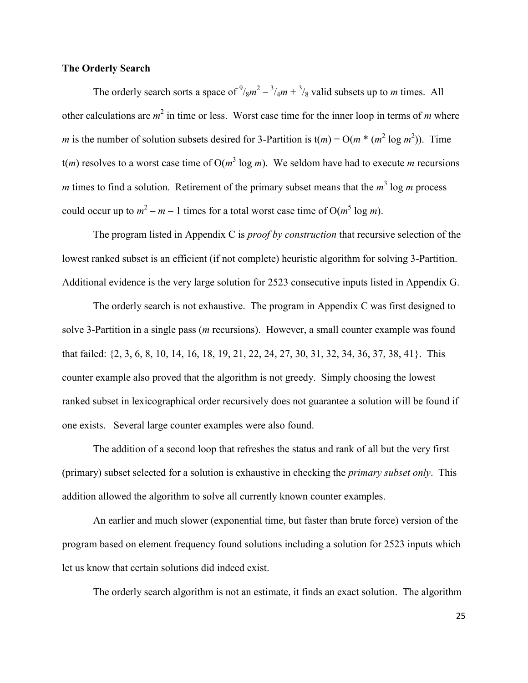### **The Orderly Search**

The orderly search sorts a space of  $\frac{9}{8}m^2 - \frac{3}{4}m + \frac{3}{8}$  valid subsets up to *m* times. All other calculations are  $m^2$  in time or less. Worst case time for the inner loop in terms of *m* where *m* is the number of solution subsets desired for 3-Partition is  $t(m) = O(m * (m^2 \log m^2))$ . Time  $t(m)$  resolves to a worst case time of  $O(m^3 \log m)$ . We seldom have had to execute *m* recursions *m* times to find a solution. Retirement of the primary subset means that the  $m^3$  log *m* process could occur up to  $m^2 - m - 1$  times for a total worst case time of  $O(m^5 \log m)$ .

The program listed in Appendix C is *proof by construction* that recursive selection of the lowest ranked subset is an efficient (if not complete) heuristic algorithm for solving 3-Partition. Additional evidence is the very large solution for 2523 consecutive inputs listed in Appendix G.

The orderly search is not exhaustive. The program in Appendix C was first designed to solve 3-Partition in a single pass (*m* recursions). However, a small counter example was found that failed: {2, 3, 6, 8, 10, 14, 16, 18, 19, 21, 22, 24, 27, 30, 31, 32, 34, 36, 37, 38, 41}. This counter example also proved that the algorithm is not greedy. Simply choosing the lowest ranked subset in lexicographical order recursively does not guarantee a solution will be found if one exists. Several large counter examples were also found.

The addition of a second loop that refreshes the status and rank of all but the very first (primary) subset selected for a solution is exhaustive in checking the *primary subset only*. This addition allowed the algorithm to solve all currently known counter examples.

An earlier and much slower (exponential time, but faster than brute force) version of the program based on element frequency found solutions including a solution for 2523 inputs which let us know that certain solutions did indeed exist.

The orderly search algorithm is not an estimate, it finds an exact solution. The algorithm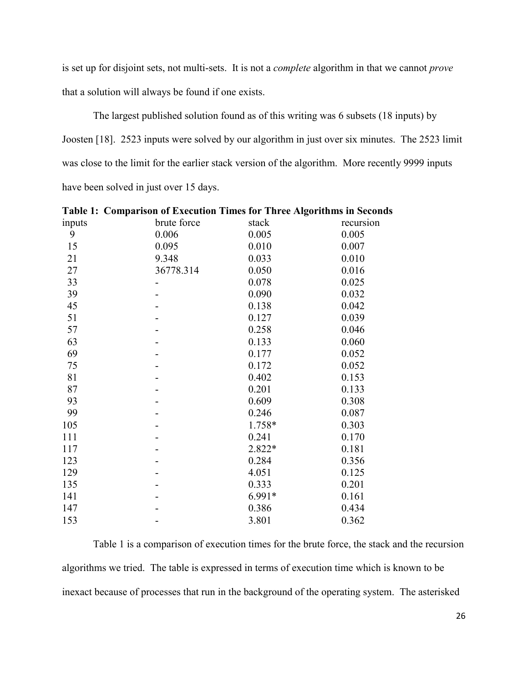is set up for disjoint sets, not multi-sets. It is not a *complete* algorithm in that we cannot *prove* that a solution will always be found if one exists.

The largest published solution found as of this writing was 6 subsets (18 inputs) by Joosten [18]. 2523 inputs were solved by our algorithm in just over six minutes. The 2523 limit was close to the limit for the earlier stack version of the algorithm. More recently 9999 inputs have been solved in just over 15 days.

| 1 avit 1. | Comparison of Execution Three for Three Ingormanis in Seconds |        |           |
|-----------|---------------------------------------------------------------|--------|-----------|
| inputs    | brute force                                                   | stack  | recursion |
| 9         | 0.006                                                         | 0.005  | 0.005     |
| 15        | 0.095                                                         | 0.010  | 0.007     |
| 21        | 9.348                                                         | 0.033  | 0.010     |
| 27        | 36778.314                                                     | 0.050  | 0.016     |
| 33        |                                                               | 0.078  | 0.025     |
| 39        |                                                               | 0.090  | 0.032     |
| 45        |                                                               | 0.138  | 0.042     |
| 51        |                                                               | 0.127  | 0.039     |
| 57        |                                                               | 0.258  | 0.046     |
| 63        |                                                               | 0.133  | 0.060     |
| 69        |                                                               | 0.177  | 0.052     |
| 75        |                                                               | 0.172  | 0.052     |
| 81        |                                                               | 0.402  | 0.153     |
| 87        |                                                               | 0.201  | 0.133     |
| 93        |                                                               | 0.609  | 0.308     |
| 99        |                                                               | 0.246  | 0.087     |
| 105       |                                                               | 1.758* | 0.303     |
| 111       |                                                               | 0.241  | 0.170     |
| 117       |                                                               | 2.822* | 0.181     |
| 123       |                                                               | 0.284  | 0.356     |
| 129       |                                                               | 4.051  | 0.125     |
| 135       |                                                               | 0.333  | 0.201     |
| 141       |                                                               | 6.991* | 0.161     |
| 147       |                                                               | 0.386  | 0.434     |
| 153       |                                                               | 3.801  | 0.362     |
|           |                                                               |        |           |

**Table 1: Comparison of Execution Times for Three Algorithms in Seconds**

Table 1 is a comparison of execution times for the brute force, the stack and the recursion algorithms we tried. The table is expressed in terms of execution time which is known to be inexact because of processes that run in the background of the operating system. The asterisked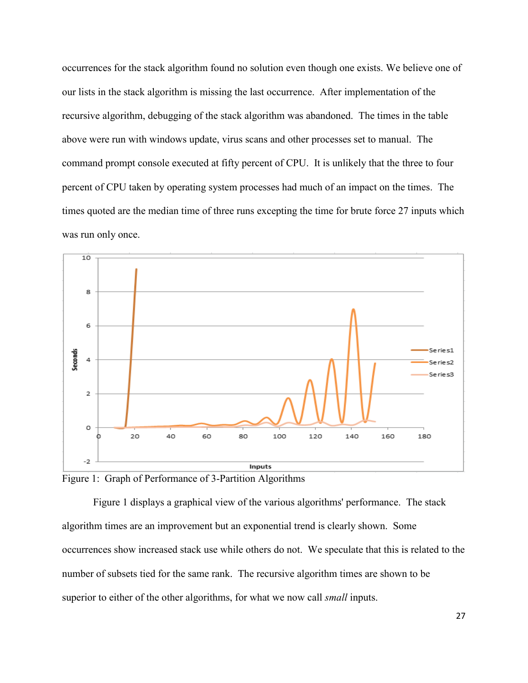occurrences for the stack algorithm found no solution even though one exists. We believe one of our lists in the stack algorithm is missing the last occurrence. After implementation of the recursive algorithm, debugging of the stack algorithm was abandoned. The times in the table above were run with windows update, virus scans and other processes set to manual. The command prompt console executed at fifty percent of CPU. It is unlikely that the three to four percent of CPU taken by operating system processes had much of an impact on the times. The times quoted are the median time of three runs excepting the time for brute force 27 inputs which was run only once.



Figure 1: Graph of Performance of 3-Partition Algorithms

Figure 1 displays a graphical view of the various algorithms' performance. The stack algorithm times are an improvement but an exponential trend is clearly shown. Some occurrences show increased stack use while others do not. We speculate that this is related to the number of subsets tied for the same rank. The recursive algorithm times are shown to be superior to either of the other algorithms, for what we now call *small* inputs.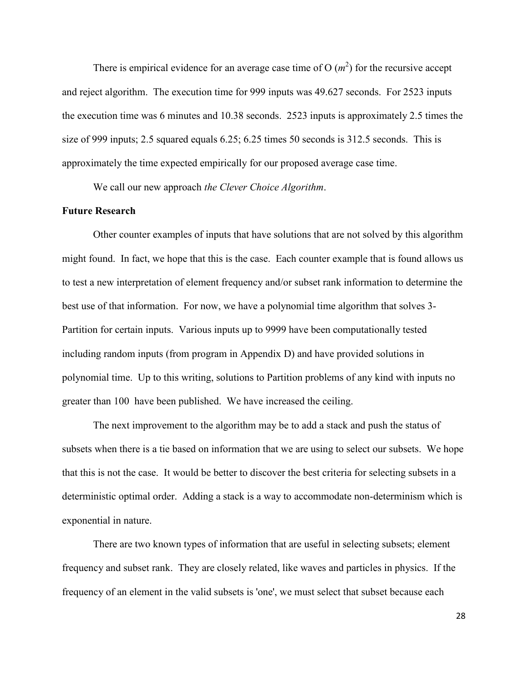There is empirical evidence for an average case time of  $O(m^2)$  for the recursive accept and reject algorithm. The execution time for 999 inputs was 49.627 seconds. For 2523 inputs the execution time was 6 minutes and 10.38 seconds. 2523 inputs is approximately 2.5 times the size of 999 inputs; 2.5 squared equals 6.25; 6.25 times 50 seconds is 312.5 seconds. This is approximately the time expected empirically for our proposed average case time.

We call our new approach *the Clever Choice Algorithm*.

## **Future Research**

Other counter examples of inputs that have solutions that are not solved by this algorithm might found. In fact, we hope that this is the case. Each counter example that is found allows us to test a new interpretation of element frequency and/or subset rank information to determine the best use of that information. For now, we have a polynomial time algorithm that solves 3- Partition for certain inputs. Various inputs up to 9999 have been computationally tested including random inputs (from program in Appendix D) and have provided solutions in polynomial time. Up to this writing, solutions to Partition problems of any kind with inputs no greater than 100 have been published. We have increased the ceiling.

The next improvement to the algorithm may be to add a stack and push the status of subsets when there is a tie based on information that we are using to select our subsets. We hope that this is not the case. It would be better to discover the best criteria for selecting subsets in a deterministic optimal order. Adding a stack is a way to accommodate non-determinism which is exponential in nature.

There are two known types of information that are useful in selecting subsets; element frequency and subset rank. They are closely related, like waves and particles in physics. If the frequency of an element in the valid subsets is 'one', we must select that subset because each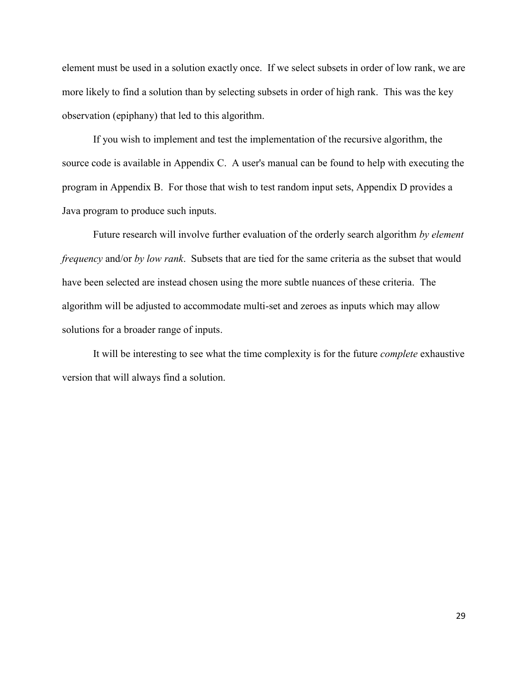element must be used in a solution exactly once. If we select subsets in order of low rank, we are more likely to find a solution than by selecting subsets in order of high rank. This was the key observation (epiphany) that led to this algorithm.

If you wish to implement and test the implementation of the recursive algorithm, the source code is available in Appendix C. A user's manual can be found to help with executing the program in Appendix B. For those that wish to test random input sets, Appendix D provides a Java program to produce such inputs.

Future research will involve further evaluation of the orderly search algorithm *by element frequency* and/or *by low rank*. Subsets that are tied for the same criteria as the subset that would have been selected are instead chosen using the more subtle nuances of these criteria. The algorithm will be adjusted to accommodate multi-set and zeroes as inputs which may allow solutions for a broader range of inputs.

It will be interesting to see what the time complexity is for the future *complete* exhaustive version that will always find a solution.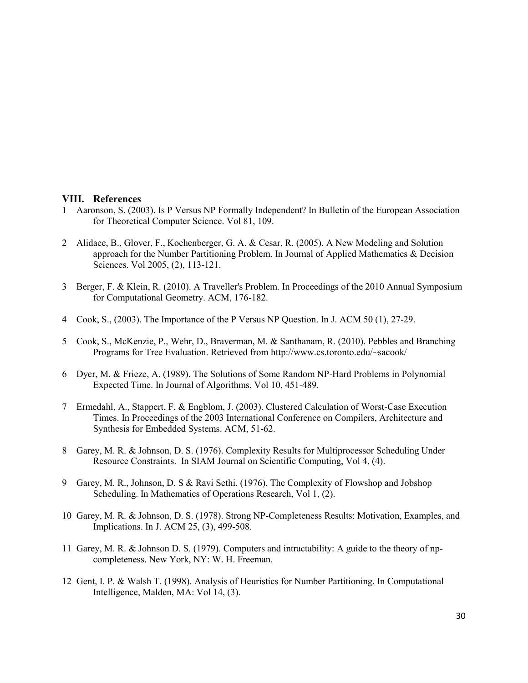#### **VIII. References**

- 1 Aaronson, S. (2003). Is P Versus NP Formally Independent? In Bulletin of the European Association for Theoretical Computer Science. Vol 81, 109.
- 2 Alidaee, B., Glover, F., Kochenberger, G. A. & Cesar, R. (2005). A New Modeling and Solution approach for the Number Partitioning Problem. In Journal of Applied Mathematics & Decision Sciences. Vol 2005, (2), 113-121.
- 3 Berger, F. & Klein, R. (2010). A Traveller's Problem. In Proceedings of the 2010 Annual Symposium for Computational Geometry. ACM, 176-182.
- 4 Cook, S., (2003). The Importance of the P Versus NP Question. In J. ACM 50 (1), 27-29.
- 5 Cook, S., McKenzie, P., Wehr, D., Braverman, M. & Santhanam, R. (2010). Pebbles and Branching Programs for Tree Evaluation. Retrieved from http://www.cs.toronto.edu/~sacook/
- 6 Dyer, M. & Frieze, A. (1989). The Solutions of Some Random NP-Hard Problems in Polynomial Expected Time. In Journal of Algorithms, Vol 10, 451-489.
- 7 Ermedahl, A., Stappert, F. & Engblom, J. (2003). Clustered Calculation of Worst-Case Execution Times. In Proceedings of the 2003 International Conference on Compilers, Architecture and Synthesis for Embedded Systems. ACM, 51-62.
- 8 Garey, M. R. & Johnson, D. S. (1976). Complexity Results for Multiprocessor Scheduling Under Resource Constraints. In SIAM Journal on Scientific Computing, Vol 4, (4).
- 9 Garey, M. R., Johnson, D. S & Ravi Sethi. (1976). The Complexity of Flowshop and Jobshop Scheduling. In Mathematics of Operations Research, Vol 1, (2).
- 10 Garey, M. R. & Johnson, D. S. (1978). Strong NP-Completeness Results: Motivation, Examples, and Implications. In J. ACM 25, (3), 499-508.
- 11 Garey, M. R. & Johnson D. S. (1979). Computers and intractability: A guide to the theory of npcompleteness. New York, NY: W. H. Freeman.
- 12 Gent, I. P. & Walsh T. (1998). Analysis of Heuristics for Number Partitioning. In Computational Intelligence, Malden, MA: Vol 14, (3).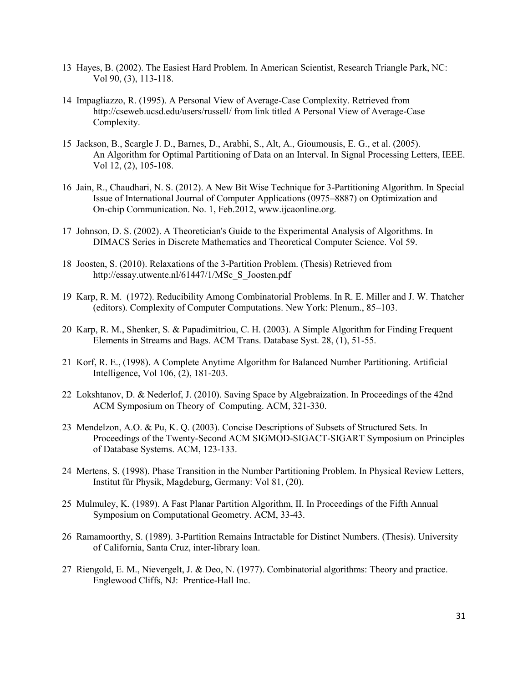- 13 Hayes, B. (2002). The Easiest Hard Problem. In American Scientist, Research Triangle Park, NC: Vol 90, (3), 113-118.
- 14 Impagliazzo, R. (1995). A Personal View of Average-Case Complexity. Retrieved from http://cseweb.ucsd.edu/users/russell/ from link titled A Personal View of Average-Case Complexity.
- 15 Jackson, B., Scargle J. D., Barnes, D., Arabhi, S., Alt, A., Gioumousis, E. G., et al. (2005). An Algorithm for Optimal Partitioning of Data on an Interval. In Signal Processing Letters, IEEE. Vol 12, (2), 105-108.
- 16 Jain, R., Chaudhari, N. S. (2012). A New Bit Wise Technique for 3-Partitioning Algorithm. In Special Issue of International Journal of Computer Applications (0975–8887) on Optimization and On-chip Communication. No. 1, Feb.2012, www.ijcaonline.org.
- 17 Johnson, D. S. (2002). A Theoretician's Guide to the Experimental Analysis of Algorithms. In DIMACS Series in Discrete Mathematics and Theoretical Computer Science. Vol 59.
- 18 Joosten, S. (2010). Relaxations of the 3-Partition Problem. (Thesis) Retrieved from http://essay.utwente.nl/61447/1/MSc\_S\_Joosten.pdf
- 19 Karp, R. M. (1972). Reducibility Among Combinatorial Problems. In R. E. Miller and J. W. Thatcher (editors). Complexity of Computer Computations. New York: Plenum., 85–103.
- 20 Karp, R. M., Shenker, S. & Papadimitriou, C. H. (2003). A Simple Algorithm for Finding Frequent Elements in Streams and Bags. ACM Trans. Database Syst. 28, (1), 51-55.
- 21 Korf, R. E., (1998). A Complete Anytime Algorithm for Balanced Number Partitioning. Artificial Intelligence, Vol 106, (2), 181-203.
- 22 Lokshtanov, D. & Nederlof, J. (2010). Saving Space by Algebraization. In Proceedings of the 42nd ACM Symposium on Theory of Computing. ACM, 321-330.
- 23 Mendelzon, A.O. & Pu, K. Q. (2003). Concise Descriptions of Subsets of Structured Sets. In Proceedings of the Twenty-Second ACM SIGMOD-SIGACT-SIGART Symposium on Principles of Database Systems. ACM, 123-133.
- 24 Mertens, S. (1998). Phase Transition in the Number Partitioning Problem. In Physical Review Letters, Institut für Physik, Magdeburg, Germany: Vol 81, (20).
- 25 Mulmuley, K. (1989). A Fast Planar Partition Algorithm, II. In Proceedings of the Fifth Annual Symposium on Computational Geometry. ACM, 33-43.
- 26 Ramamoorthy, S. (1989). 3-Partition Remains Intractable for Distinct Numbers. (Thesis). University of California, Santa Cruz, inter-library loan.
- 27 Riengold, E. M., Nievergelt, J. & Deo, N. (1977). Combinatorial algorithms: Theory and practice. Englewood Cliffs, NJ: Prentice-Hall Inc.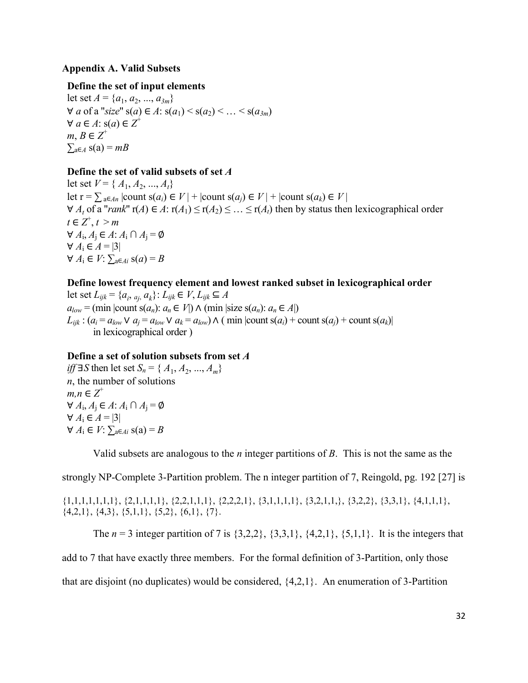## **Appendix A. Valid Subsets**

## **Define the set of input elements**

let set  $A = \{a_1, a_2, ..., a_{3m}\}$ ∀ *a* of a "*size*"  $s(a) \in A$ :  $s(a_1) \le s(a_2) \le ... \le s(a_{2m})$  $\forall a \in A$ : s(a) ∈  $Z^+$  $m, B \in \mathbb{Z}^+$  $\sum_{a \in A} s(a) = mB$ 

## **Define the set of valid subsets of set** *A*

let set  $V = \{A_1, A_2, ..., A_t\}$ let  $r = \sum_{a \in An} |count(s(a_i) \in V)| + |count(s(a_i) \in V)| + |count(s(a_k) \in V)|$  $∀ A<sub>t</sub>$  of a "*rank*"  $r(A) ∈ A$ :  $r(A<sub>1</sub>) ≤ r(A<sub>2</sub>) ≤ ... ≤ r(A<sub>t</sub>)$  then by status then lexicographical order  $t \in \mathbb{Z}^+, t > m$  $\forall A_i, A_j \in A$ :  $A_i \cap A_j = \emptyset$  $\forall A_1 \in A = |3|$  $∀ A_i ∈ V: \sum_{a \in Ai} s(a) = B$ 

### **Define lowest frequency element and lowest ranked subset in lexicographical order**

let set  $L_{ijk}$  = { $a_i$ ,  $a_j$ ,  $a_k$ }:  $L_{ijk}$  ∈  $V$ ,  $L_{ijk}$  ⊆  $A$  $a_{low}$  = (min |count s( $a_n$ ):  $a_n \in V$ )  $\wedge$  (min |size s( $a_n$ ):  $a_n \in A$ |)  $L_{ijk}$ :  $(a_i = a_{low} \vee a_j = a_{low} \vee a_k = a_{low}) \wedge (min |count s(a_i) + count s(a_j) + count s(a_k)|$ in lexicographical order )

## **Define a set of solution subsets from set** *A*

*iff* ∃*S* then let set *S<sub>n</sub>* = {  $A_1, A_2, ..., A_m$ } *n*, the number of solutions  $m, n \in \mathbb{Z}^+$ ∀ *A*<sup>i</sup> , *A*<sup>j</sup> ∈ *A*: *A*<sup>i</sup> ∩ *A*<sup>j</sup> = ∅  $\forall A_1 \in A = |3|$  $\forall$  *A*<sub>i</sub> ∈ *V*:  $\sum_{a \in Ai}$  s(a) = *B* 

Valid subsets are analogous to the *n* integer partitions of *B*. This is not the same as the

strongly NP-Complete 3-Partition problem. The n integer partition of 7, Reingold, pg. 192 [27] is

 $\{1,1,1,1,1,1,1\}$ ,  $\{2,1,1,1,1\}$ ,  $\{2,2,1,1,1\}$ ,  $\{2,2,2,1\}$ ,  $\{3,1,1,1,1\}$ ,  $\{3,2,1,1,1\}$ ,  $\{3,2,2\}$ ,  $\{3,3,1\}$ ,  $\{4,1,1,1\}$ ,  $\{4,2,1\}, \{4,3\}, \{5,1,1\}, \{5,2\}, \{6,1\}, \{7\}.$ 

The  $n = 3$  integer partition of 7 is  $\{3,2,2\}$ ,  $\{3,3,1\}$ ,  $\{4,2,1\}$ ,  $\{5,1,1\}$ . It is the integers that add to 7 that have exactly three members. For the formal definition of 3-Partition, only those that are disjoint (no duplicates) would be considered, {4,2,1}. An enumeration of 3-Partition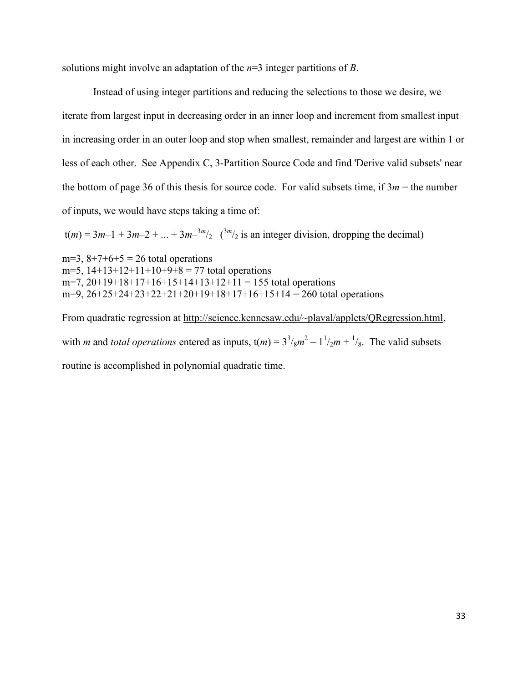solutions might involve an adaptation of the *n*=3 integer partitions of *B*.

Instead of using integer partitions and reducing the selections to those we desire, we iterate from largest input in decreasing order in an inner loop and increment from smallest input in increasing order in an outer loop and stop when smallest, remainder and largest are within 1 or less of each other. See Appendix C, 3-Partition Source Code and find 'Derive valid subsets' near the bottom of page 36 of this thesis for source code. For valid subsets time, if  $3m =$  the number of inputs, we would have steps taking a time of:

 $t(m) = 3m-1 + 3m-2 + ... + 3m-3m/2$  ( $3m/2$  is an integer division, dropping the decimal)

m=3,  $8+7+6+5 = 26$  total operations m=5,  $14+13+12+11+10+9+8 = 77$  total operations m=7,  $20+19+18+17+16+15+14+13+12+11 = 155$  total operations m=9,  $26+25+24+23+22+21+20+19+18+17+16+15+14 = 260$  total operations

From quadratic regression at http://science.kennesaw.edu/~plaval/applets/QRegression.html, with *m* and *total operations* entered as inputs,  $t(m) = 3^3 /_8 m^2 - 1^1 /_2 m + 1 /_8$ . The valid subsets routine is accomplished in polynomial quadratic time.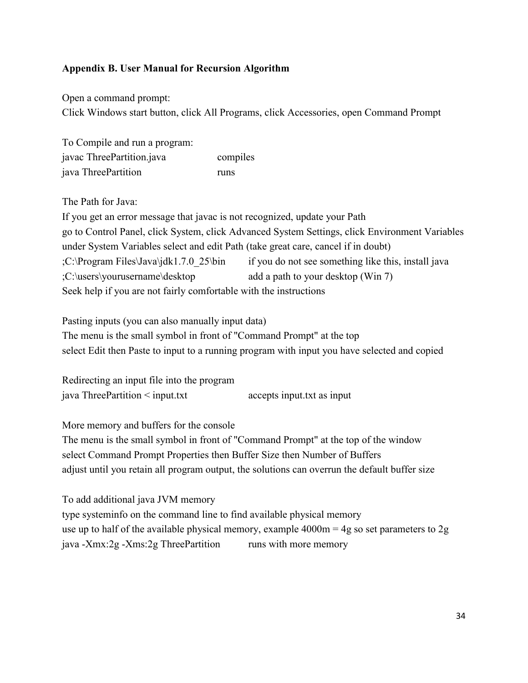## **Appendix B. User Manual for Recursion Algorithm**

Open a command prompt: Click Windows start button, click All Programs, click Accessories, open Command Prompt

To Compile and run a program: javac ThreePartition.java compiles java ThreePartition runs

The Path for Java:

If you get an error message that javac is not recognized, update your Path go to Control Panel, click System, click Advanced System Settings, click Environment Variables under System Variables select and edit Path (take great care, cancel if in doubt) ;C:\Program Files\Java\jdk1.7.0\_25\bin if you do not see something like this, install java ;C:\users\yourusername\desktop add a path to your desktop (Win 7) Seek help if you are not fairly comfortable with the instructions

Pasting inputs (you can also manually input data) The menu is the small symbol in front of "Command Prompt" at the top select Edit then Paste to input to a running program with input you have selected and copied

Redirecting an input file into the program java ThreePartition < input.txt accepts input.txt as input

More memory and buffers for the console

The menu is the small symbol in front of "Command Prompt" at the top of the window select Command Prompt Properties then Buffer Size then Number of Buffers adjust until you retain all program output, the solutions can overrun the default buffer size

To add additional java JVM memory type systeminfo on the command line to find available physical memory use up to half of the available physical memory, example  $4000m = 4g$  so set parameters to 2g java -Xmx:2g -Xms:2g ThreePartition runs with more memory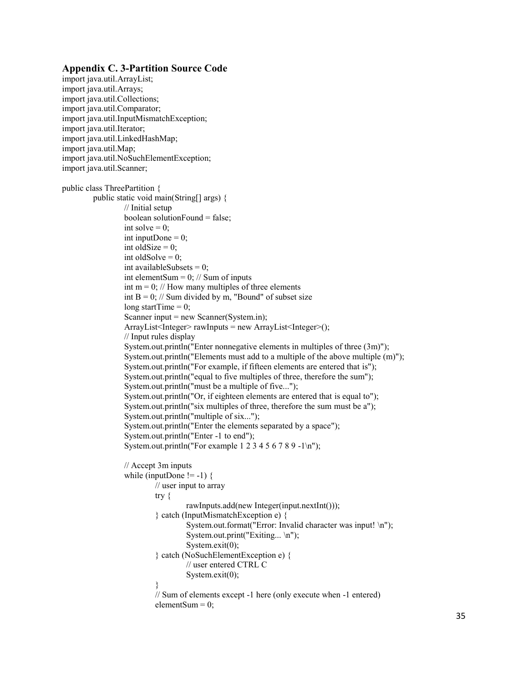#### **Appendix C. 3-Partition Source Code**

```
import java.util.ArrayList;
import java.util.Arrays;
import java.util.Collections;
import java.util.Comparator;
import java.util.InputMismatchException;
import java.util.Iterator;
import java.util.LinkedHashMap;
import java.util.Map;
import java.util.NoSuchElementException;
import java.util.Scanner;
public class ThreePartition {
        public static void main(String[] args) {
                 // Initial setup
                 boolean solutionFound = false;
                  int solve = 0;
                  int inputDone = 0;
                  int oldSize = 0;
                  int oldSolve = 0;
                  int availableSubsets = 0;
                  int elementSum = 0; // Sum of inputs
                  int m = 0; // How many multiples of three elements
                  int B = 0; // Sum divided by m, "Bound" of subset size
                  long startTime = 0;
                  Scanner input = new Scanner(System.in);
                  ArrayList<Integer> rawInputs = new ArrayList<Integer>();
                  // Input rules display
                  System.out.println("Enter nonnegative elements in multiples of three (3m)");
                  System.out.println("Elements must add to a multiple of the above multiple (m)");
                  System.out.println("For example, if fifteen elements are entered that is");
                  System.out.println("equal to five multiples of three, therefore the sum");
                  System.out.println("must be a multiple of five...");
                  System.out.println("Or, if eighteen elements are entered that is equal to");
                  System.out.println("six multiples of three, therefore the sum must be a");
                  System.out.println("multiple of six...");
                  System.out.println("Enter the elements separated by a space");
                  System.out.println("Enter -1 to end");
                  System.out.println("For example 1 2 3 4 5 6 7 8 9 -1 \n\rangle");
                 // Accept 3m inputs
                  while (inputDone != -1) {
                           // user input to array
                           try {
                                    rawInputs.add(new Integer(input.nextInt()));
                           } catch (InputMismatchException e) {
                                    System.out.format("Error: Invalid character was input! \n");
                                    System.out.print("Exiting... \n");
                                    System.exit(0);
                           } catch (NoSuchElementException e) {
                                    // user entered CTRL C
                                    System.exit(0);
                           }
                           // Sum of elements except -1 here (only execute when -1 entered)
                           elementSum = 0;
```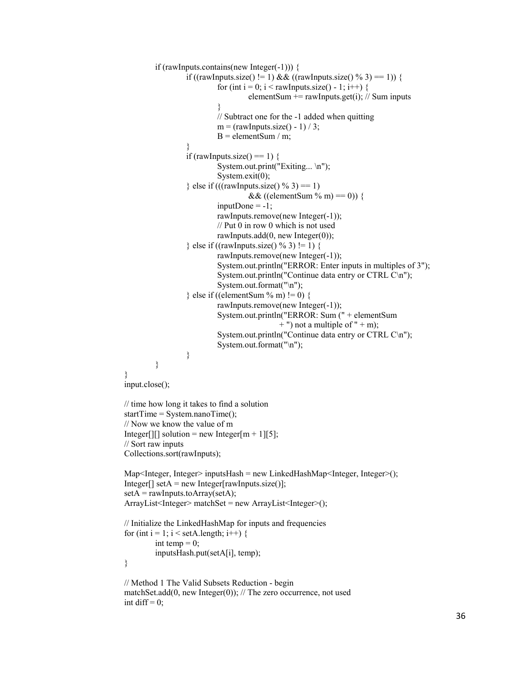```
if (rawInputs.contains(new Integer(-1))) {
                  if ((rawInputs.size() != 1) && ((rawInputs.size() % 3) == 1)) {
                          for (int i = 0; i < rawInputs.size() - 1; i++) {
                                   elementSum += rawInputs.get(i); // Sum inputs
                           }
                          // Subtract one for the -1 added when quitting
                          m = (rawInputStream.size() - 1) / 3;B = elementSum / m;
                  }
                  if (rawInputs.size() == 1) {
                          System.out.print("Exiting... \n");
                          System.exit(0);
                  } else if (((rawInputs.size() % 3) == 1)
                                   &\& ((elementSum % m) == 0)) {
                          inputDone = -1;
                          rawInputs.remove(new Integer(-1));
                          // Put 0 in row 0 which is not used
                          rawInputs.add(0, new Integer(0));
                  \} else if ((rawInputs.size() % 3) != 1) {
                          rawInputs.remove(new Integer(-1));
                          System.out.println("ERROR: Enter inputs in multiples of 3");
                          System.out.println("Continue data entry or CTRL C\n");
                          System.out.format("\n");
                  \} else if ((elementSum % m) != 0) {
                          rawInputs.remove(new Integer(-1));
                          System.out.println("ERROR: Sum (" + elementSum
                                            + ") not a multiple of " + m);
                          System.out.println("Continue data entry or CTRL C\n");
                          System.out.format("\n");
                  }
         }
}
input.close();
// time how long it takes to find a solution
startTime = System.nameTime();
// Now we know the value of m
Integer[][] solution = new Integer[m + 1][5];
// Sort raw inputs
Collections.sort(rawInputs);
Map<Integer, Integer> inputsHash = new LinkedHashMap<Integer, Integer>();
Integer[] setA = new Integer[rawInputs.size()];
set A = rawInputStream.out.ArrayList<Integer> matchSet = new ArrayList<Integer>();
// Initialize the LinkedHashMap for inputs and frequencies
for (int i = 1; i < setA.length; i++) {
         int temp = 0;
         inputsHash.put(setA[i], temp);
}
// Method 1 The Valid Subsets Reduction - begin
matchSet.add(0, new Integer(0)); // The zero occurrence, not used
int diff = 0;
```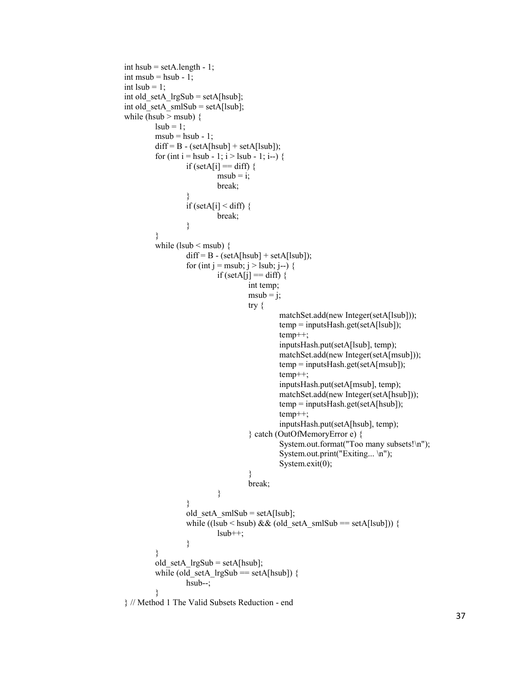```
int hsub = setA.length - 1;
int msub = hsub - 1;
int lsub = 1;
int old_setA_lrgSub = setA[hsub];
int old setA smlSub = setA[lsub];
while (hsub > msub) {
        lsub = 1;
        msub = hsub - 1;
        diff = B - (setA[hsub] + setA[lsub]);for (int i = hsub - 1; i > lsub - 1; i--) {
                 if (setA[i] = diff) {
                          msub = i;
                          break;
                  }
                 if (setA[i] < diff) {
                          break;
                 }
         }
        while (lsub \leq msub) {
                 diff = B - (setA[hsub] + setA[lsub]);for (int j = msub; j > lsub; j--) {
                          if (setA[j] == diff) {
                                   int temp;
                                   msub = j;try {
                                            matchSet.add(new Integer(setA[lsub]));
                                            temp = inputsHash.get(setA[lsub]);
                                            temp++;
                                            inputsHash.put(setA[lsub], temp);
                                            matchSet.add(new Integer(setA[msub]));
                                            temp = inputsHash.get(setA[msub]);
                                            temp++;
                                            inputsHash.put(setA[msub], temp);
                                            matchSet.add(new Integer(setA[hsub]));
                                            temp = inputsHash.get(setA[hsub]);
                                            temp++;
                                            inputsHash.put(setA[hsub], temp);
                                   } catch (OutOfMemoryError e) {
                                            System.out.format("Too many subsets!\n");
                                            System.out.print("Exiting... \n");
                                            System.exit(0);
                                    }
                                   break;
                          }
                  }
                 old setA smlSub = setA[lsub];while ((lsub < hsub) && (old_setA_smlSub == setA[lsub])) {
                          lsub++;}
        }
        old_setA_lrgSub = setA[hsub];
        while (old setA lrgSub == setA[hsub]) {
                 hsub--;
         }
} // Method 1 The Valid Subsets Reduction - end
```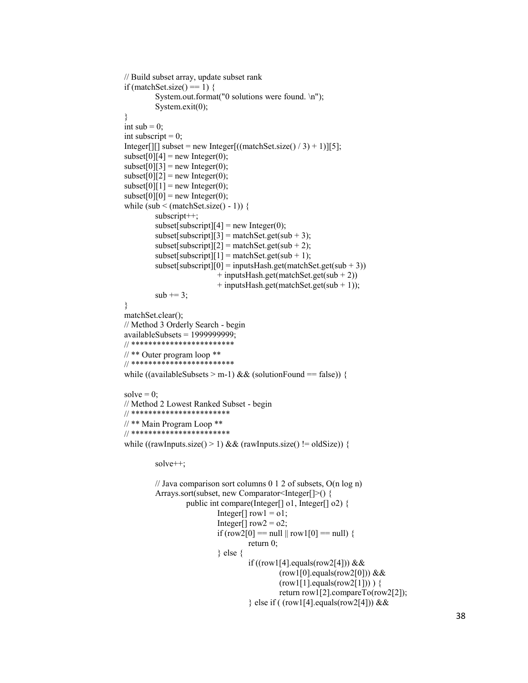```
// Build subset array, update subset rank
if (matchSet.size() == 1) {
         System.out.format("0 solutions were found. \n");
         System.exit(0);
}
int sub = 0;
int subscript = 0;
Integer[][] subset = new Integer[((matchSet.size() / 3) + 1)][5];
subset[0][4] = new Integer(0);
\text{subset}[0][3] = \text{new Integer}(0);subset[0][2] = new Integer(0);
subset[0][1] = new Integer(0);
subset[0][0] = new Integer(0);
while (sub < (matchSet.size() - 1)) {
         subscript++;
         subset[subscript][4] = new Integer(0);
         subset[subscript][3] = matchSet.get(sub + 3);subset[subscript][2] = matchSet.get(sub + 2);subset[subscript][1] = matchSet.get(sub + 1);subset[subscript][0] = inputsHash.get(matchSet.get(sub + 3))+ inputsHash.get(matchSet.get(sub + 2))
                          + inputsHash.get(matchSet.get(sub + 1));
         sub += 3;}
matchSet.clear();
// Method 3 Orderly Search - begin
availableSubsets = 1999999999;
// ************************
// ** Outer program loop ** 
// ************************
while ((availableSubsets > m-1) && (solutionFound == false)) {
solve = 0;
// Method 2 Lowest Ranked Subset - begin
// ***********************
// ** Main Program Loop **
// ***********************
while ((rawInputs.size() > 1) && (rawInputs.size() != oldSize)) {
         solve++;
         // Java comparison sort columns 0 1 2 of subsets, O(n log n)
         Arrays.sort(subset, new Comparator<Integer[]>() {
                  public int compare(Integer[] o1, Integer[] o2) {
                          Integer[] row1 = 01;
                          Integer[] row2 = 02;
                          if (row2[0] == null ||row1[0] == null}
                                   return 0;
                           } else {
                                   if ((row1[4].equals(row2[4])) & \& \&(row1[0].equals(row2[0])) & \& \&(row1[1].equals(row2[1])) \{return row1[2].compareTo(row2[2]);
                                   } else if ( (row1[4].equals(row2[4])) &&
```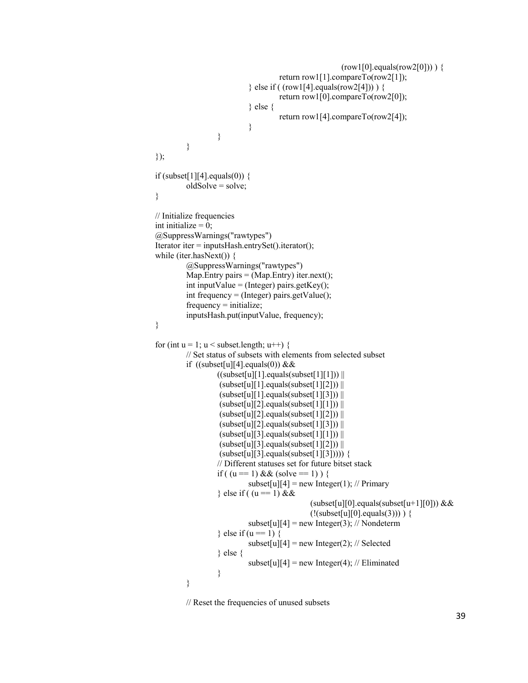```
(row1[0].equals(row2[0])) \{return row1[1].compareTo(row2[1]);
                           } else if ( (row1[4].equals(row2[4])) ) {
                                    return row1[0].compareTo(row2[0]);
                           } else {
                                    return row1[4].compareTo(row2[4]);
                           }
                  }
         }
});
if (subset[1][4].equals(0)) {
         oldSolve = solve;
}
// Initialize frequencies
int initialize = 0:
@SuppressWarnings("rawtypes")
Iterator iter = inputsHash.entrySet().iterator();
while (iter.hasNext()) {
         @SuppressWarnings("rawtypes")
         Map. Entry pairs = (Map. Entry) iter.next();
         int inputValue = (Integer) pairs.getKey();
         int frequency = (Integer) pairs.getValue(); 
         frequencv =initialize:
         inputsHash.put(inputValue, frequency);
}
for (int u = 1; u < subset.length; u^{++}) {
         // Set status of subsets with elements from selected subset
         if ((\text{subset} [u][4].\text{equals}(0)) \&&((subset[1][1].equals(subset[1][1]))(subset[u][1].equals(subset[1][2]))(subset[u][1].equals(subset[1][3]))(subset[u][2].equals(subset[1][1]))(subset[u][2].equals(subset[1][2]))(subset[u][2].equals(subset[1][3]))(subset[u][3].equals(subset[1][1]))(subset[u][3].equals(subset[1][2]))(subset[u][3].equals(subset[1][3])) {
                  // Different statuses set for future bitset stack
                  if ( (u == 1) & & (solve == 1) ) {
                           subset[u][4] = new Integer(1); // Primary
                  } else if ((u = 1) & &
                                             (subset[u][0].equals(subset[u+1][0])) &&(!(subset[ [0].equals(3))) ) {
                           subset[u][4] = new Integer(3); // Nondeterm
                  } else if (u == 1) {
                           subset[u][4] = new Integer(2); // Selected
                  } else {
                           subset[u][4] = new Integer(4); // Eliminated
                  }
         }
```
// Reset the frequencies of unused subsets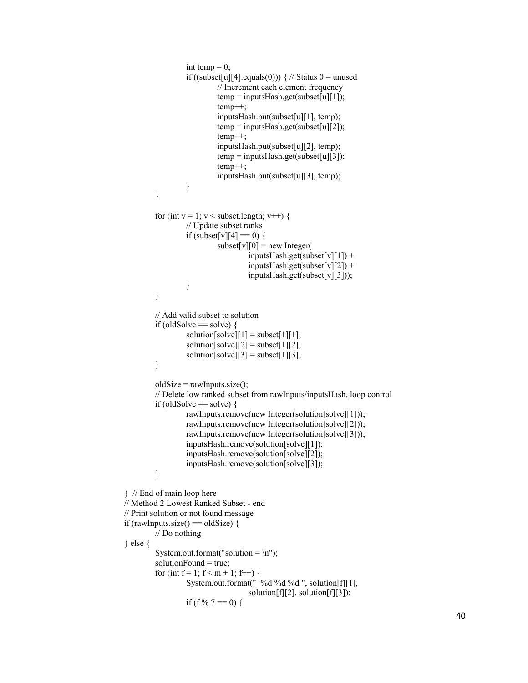```
int temp = 0;
                  if ((subset[u][4].equals(0))) \frac{1}{2} // Status 0 = unused
                           // Increment each element frequency
                           temp = inputsHash.get(subset[u][1]);temp++;
                           inputsHash.put(subset[u][1], temp);
                           temp = inputsHash.get(subset[u][2]);
                           temp++;
                           inputsHash.put(subset[u][2], temp);
                           temp = inputsHash.get(subset[u][3]);
                           temp++;
                           inputsHash.put(subset[u][3], temp);
                  }
         }
         for (int v = 1; v < subset.length; v++) {
                  // Update subset ranks
                  if (subset[v][4] == 0) {
                           \text{subset}[v][0] = \text{new Integer}(inputsHash.get(subset[v][1]) +
                                    inputsHash.get(subset[v][2]) +
                                    inputsHash.get(subset[v][3]));
                  }
         }
         // Add valid subset to solution
         if (oldSolve = solve) {
                  solution[solve][1] = subset[1][1];
                  solution[solve][2] = subset[1][2];
                  solution[solve][3] = subset[1][3];
         }
         oldSize = rawInputStreamSize();// Delete low ranked subset from rawInputs/inputsHash, loop control
         if (oldSolve == solve) {
                  rawInputs.remove(new Integer(solution[solve][1]));
                  rawInputs.remove(new Integer(solution[solve][2]));
                  rawInputs.remove(new Integer(solution[solve][3]));
                  inputsHash.remove(solution[solve][1]);
                  inputsHash.remove(solution[solve][2]);
                  inputsHash.remove(solution[solve][3]);
         }
} // End of main loop here
// Method 2 Lowest Ranked Subset - end
// Print solution or not found message
if (rawInputs.size() == oldSize) {
         // Do nothing
} else {
         System.out.format("solution = \n\pi");
         solutionFound = true;
         for (int f = 1; f < m + 1; f++) {
                  System.out.format(" %d %d %d ", solution[f][1],
                                    solution[f][2], solution[f][3]);
                  if (f % 7 = 0) {
```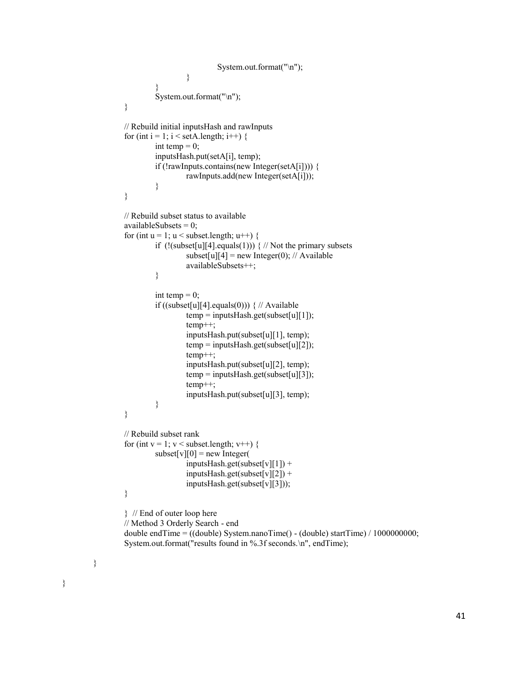```
System.out.format("\n");
                  }
         }
         System.out.format("\n");
}
// Rebuild initial inputsHash and rawInputs
for (int i = 1; i < setA.length; i++) {
         int temp = 0;
         inputsHash.put(setA[i], temp);
         if (!rawInputs.contains(new Integer(setA[i]))) {
                  rawInputs.add(new Integer(setA[i]));
         }
}
// Rebuild subset status to available
availableSubsets = 0;
for (int u = 1; u < subset.length; u^{++}) {
         if (|(subset[u][4].equals(1))) \{ \# Not the primary subsetssubset[u][4] = new Integer(0); // Available
                  availableSubsets++;
         }
         int temp = 0;
         if ((subset[u][4].equals(0))) \frac{1}{2} // Available
                  temp = inputsHash.get(subset[u][1]);temp++;
                  inputsHash.put(subset[u][1], temp);
                  temp = inputsHash.get(subset[u][2]);
                  temp++;
                  inputsHash.put(subset[u][2], temp);
                  temp = inputsHash.get(subset[u][3]);
                  temp++;
                  inputsHash.put(subset[u][3], temp);
         }
}
// Rebuild subset rank
for (int v = 1; v < subset.length; v++) {
         \text{subset}[v][0] = new Integer(
                  inputsHash.get(subset[v][1]) +
                  inputsHash.get(subset[v][2]) +
                  inputsHash.get(subset[v][3]));
}
} // End of outer loop here
// Method 3 Orderly Search - end
double endTime = ((double) System.nanoTime() - (double) startTime) / 1000000000;
System.out.format("results found in %.3f seconds.\n", endTime);
```
}

}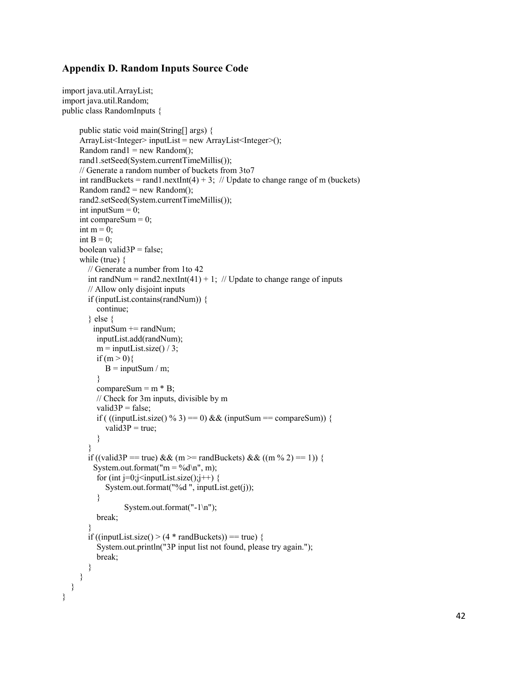#### **Appendix D. Random Inputs Source Code**

```
import java.util.ArrayList;
import java.util.Random;
public class RandomInputs {
      public static void main(String[] args) {
      ArrayList<Integer> inputList = new ArrayList<Integer>();
     Random rand1 = new Random);
      rand1.setSeed(System.currentTimeMillis());
      // Generate a random number of buckets from 3to7
     int randBuckets = rand1.nextInt(4) + 3; // Update to change range of m (buckets)
     Random rand2 = new Random();
      rand2.setSeed(System.currentTimeMillis());
     int inputSum = 0;
      int compareSum = 0;
     int m = 0;
     int B = 0;
     boolean valid3P = false;
      while (true) {
        // Generate a number from 1to 42
       int randNum = rand2.nextInt(41) + 1; // Update to change range of inputs
        // Allow only disjoint inputs
        if (inputList.contains(randNum)) {
           continue;
        } else {
         inputSum += randNum; inputList.add(randNum);
          m = inputList.size() / 3;if (m > 0)B = inputSum / m;
           }
          compareSum = m * B;
           // Check for 3m inputs, divisible by m
          valid3P = false;
          if ( ((inputList.size() % 3) == 0) && (inputSum == compareSum)) {
             valid3P = true;
           }
\left\{\begin{array}{cc} \end{array}\right\}if ((valid3P == true) && (m >= randBuckets) && ((m % 2) == 1)) {
         System.out.format("m = \%d \nightharpoonup n", m);
          for (int j=0;j<inputList.size();j++) {
              System.out.format("%d ", inputList.get(j));
           }
                  System.out.format("-1\n");
           break;
        }
       if ((inputList.size() > (4 * \text{randBuckets})) == true) {
           System.out.println("3P input list not found, please try again.");
           break;
        }
     }
   }
}
```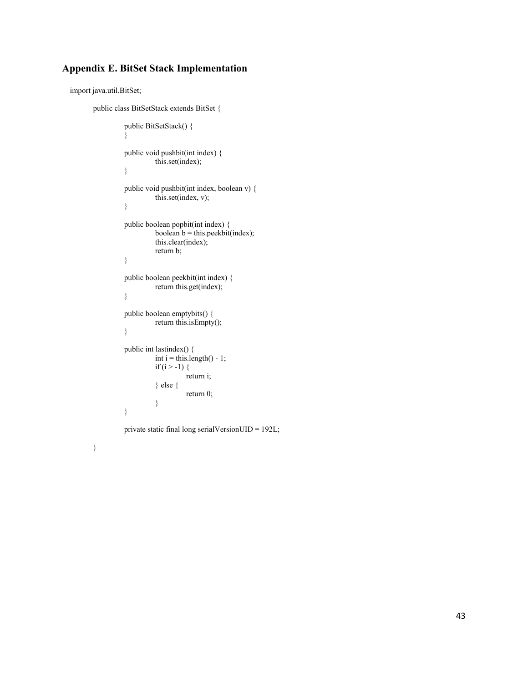## **Appendix E. BitSet Stack Implementation**

import java.util.BitSet;

```
public class BitSetStack extends BitSet {
```

```
public BitSetStack() {
}
public void pushbit(int index) {
          this.set(index);
}
public void pushbit(int index, boolean v) {
          this.set(index, v);
}
public boolean popbit(int index) {
          boolean b = this.peekbit(index);
          this.clear(index);
          return b;
}
public boolean peekbit(int index) {
          return this.get(index);
}
public boolean emptybits() {
          return this.isEmpty();
}
public int lastindex() {
          int i = this.length() - 1;
          if (i > -1) {
                    return i;
          } else {
                    return 0;
          }
}
```
private static final long serialVersionUID = 192L;

}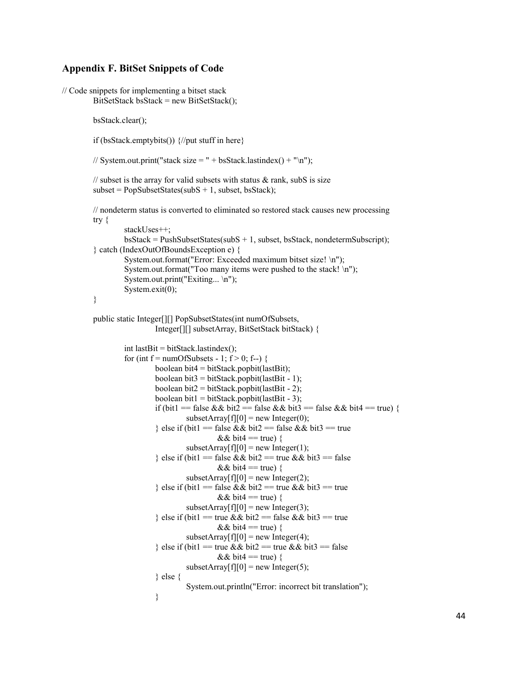#### **Appendix F. BitSet Snippets of Code**

```
// Code snippets for implementing a bitset stack
         BitSetStack bsStack = new BitSetStack();
         bsStack.clear();
         if (bsStack.emptybits()) {//put stuff in here}
        // System.out.print("stack size = " + bsStack.lastindex() + "\n");
         // subset is the array for valid subsets with status \& rank, subS is size
         subset = PopSubsetStates(subS + 1, subset, bsStack);// nondeterm status is converted to eliminated so restored stack causes new processing
         try {
                  stackUses++;
                  bsStack = PushSubsetStates(subS + 1, subset, bsStack, nondeterministic);
         } catch (IndexOutOfBoundsException e) {
                  System.out.format("Error: Exceeded maximum bitset size! \n");
                  System.out.format("Too many items were pushed to the stack! \n");
                  System.out.print("Exiting... \n");
                  System.exit(0);
         }
         public static Integer[][] PopSubsetStates(int numOfSubsets,
                           Integer[][] subsetArray, BitSetStack bitStack) {
                  int lastBit = bitStack.lastindex();
                  for (int f = numOfSubsets - 1; f > 0; f--) {
                           boolean bit4 = bitStack.popbit(lastBit);
                           boolean bit3 = \text{bitStack}.popbit(lastBit - 1);
                           boolean bit2 = \text{bitStack}.popbit(lastBit - 2);
                           boolean bit1 = bitStack.popbit(lastBit - 3);
                           if (bit1 = false && bit2 = false && bit3 = false && bit4 = true) {
                                    subsetArray[f][0] = new Integer(0);
                           } else if (bit1 = false && bit2 = false && bit3 = true
                                             && bit4 = true) {
                                    subsetArray[f][0] = new Integer(1);
                           } else if (bit1 = false && bit2 = true && bit3 = false
                                             && bit4 = true) {
                                    subsetArray[f][0] = new Integer(2);
                           } else if (bit1 = false && bit2 = true && bit3 = true
                                             && bit4 = true) {
                                    subsetArray[f][0] = new Integer(3);
                           } else if (bit1 == true && bit2 == false && bit3 == true
                                             && bit4 = true) {
                                    subsetArray[f][0] = new Integer(4);
                           } else if (bit1 == true && bit2 == true && bit3 == false
                                             && bit4 = true) {
                                    subsetArray[f][0] = new Integer(5);
                           } else {
                                    System.out.println("Error: incorrect bit translation");
                           }
```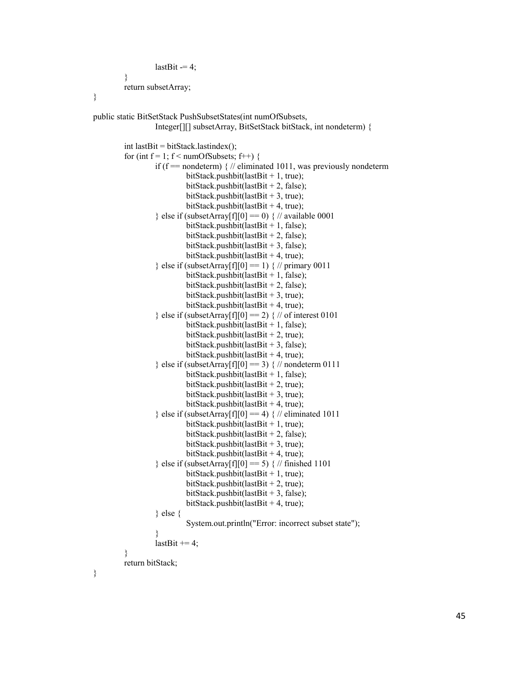```
lastBit = 4;
}
return subsetArray;
```
}

```
public static BitSetStack PushSubsetStates(int numOfSubsets,
                   Integer[][] subsetArray, BitSetStack bitStack, int nondeterm) {
         int lastBit = bitStack.lastindex();
         for (int f = 1; f < numOfSubsets; f++) {
                   if (f == nondeterm) \frac{1}{4} // eliminated 1011, was previously nondeterm
                             bitStack.pushbit(lastBit + 1, true);
                             bitStack.pushbit(lastBit + 2, false);
                             bitStack.pushbit(lastBit + 3, true);
                             bitStack.pushbit(lastBit + 4, true);
                   \} else if (subsetArray[f][0] == 0) { // available 0001
                             bitStack.pushbit(lastBit + 1, false);
                             bitStack.pushbit(lastBit + 2, false);
                             bitStack.pushbit(lastBit + 3, false);
                             bitStack.pushbit(lastBit + 4, true);
                   } else if (subsetArray[f][0] == 1) \frac{1}{2} // primary 0011
                             bitStack.pushbit(lastBit + 1, false);
                             bitStack.pushbit(lastBit + 2, false);
                             bitStack.pushbit(lastBit + 3, true);
                             bitStack.pushbit(lastBit + 4, true);
                   } else if (subsetArray[f][0] == 2) \frac{1}{2} // of interest 0101
                             bitStack.pushbit(lastBit + 1, false);
                             bitStack.pushbit(lastBit + 2, true);
                             bitStack.pushbit(lastBit + 3, false);
                             bitStack.pushbit(lastBit + 4, true);
                   } else if (subsetArray[f][0] == 3) \frac{1}{2} // nondeterm 0111
                             bitStack.pushbit(lastBit + 1, false);
                             bitStack.pushbit(lastBit + 2, true);
                             bitStack.pushbit(lastBit + 3, true);
                             bitStack.pushbit(lastBit + 4, true);
                   \} else if (subsetArray[f][0] == 4) { // eliminated 1011
                             bitStack.pushbit(lastBit + 1, true);
                             bitStack.pushbit(lastBit + 2, false);
                             bitStack.pushbit(lastBit + 3, true);
                             bitStack.pushbit(lastBit + 4, true);
                   } else if (subsetArray[f][0] == 5) \frac{7}{7} // finished 1101
                             bitStack.pushbit(lastBit + 1, true);
                             bitStack.pushbit(lastBit + 2, true);
                             bitStack.pushbit(lastBit + 3, false);
                             bitStack.pushbit(lastBit + 4, true);
                   } else {
                             System.out.println("Error: incorrect subset state");
                   }
                   lastBit += 4;}
         return bitStack;
}
```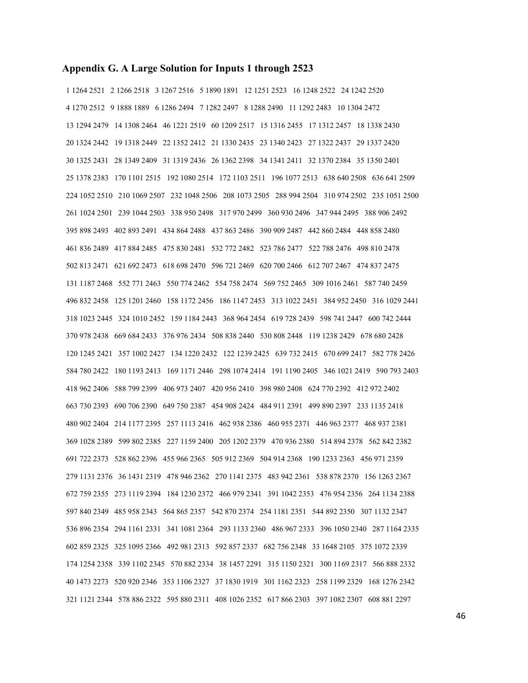#### **Appendix G. A Large Solution for Inputs 1 through 2523**